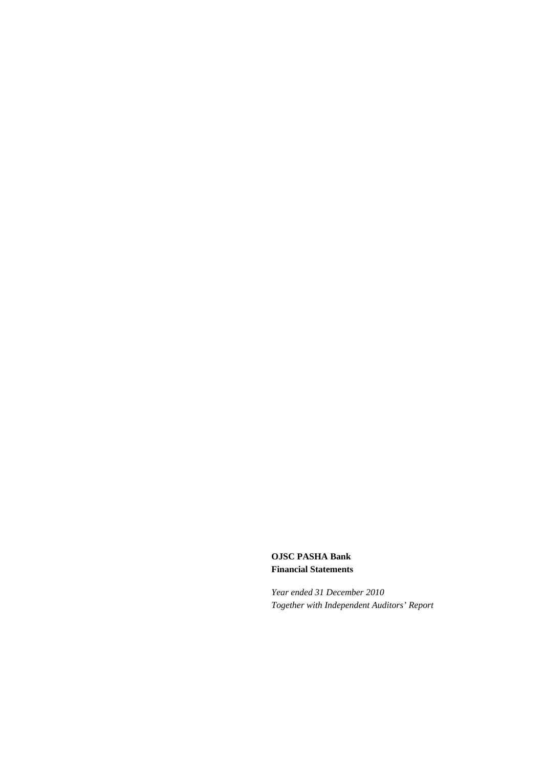**OJSC PASHA Bank Financial Statements** 

*Year ended 31 December 2010 Together with Independent Auditors' Report*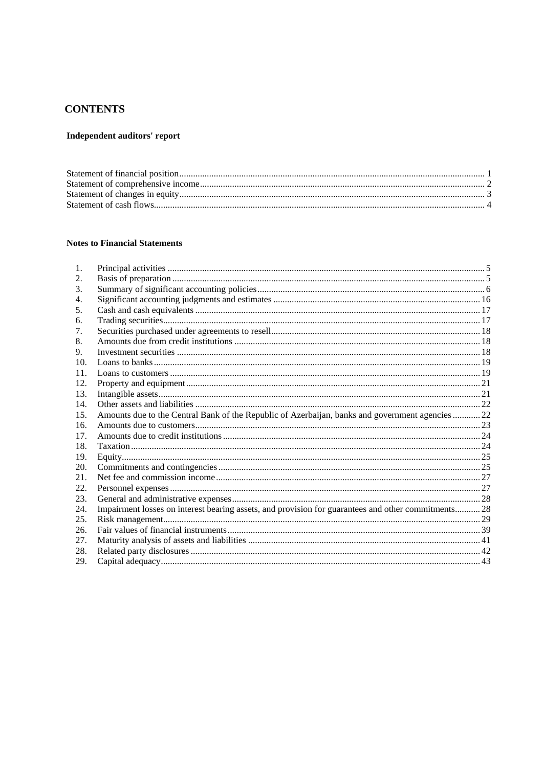# **CONTENTS**

## Independent auditors' report

## **Notes to Financial Statements**

| 1.  |                                                                                                     |  |
|-----|-----------------------------------------------------------------------------------------------------|--|
| 2.  |                                                                                                     |  |
| 3.  |                                                                                                     |  |
| 4.  |                                                                                                     |  |
| 5.  |                                                                                                     |  |
| 6.  |                                                                                                     |  |
| 7.  |                                                                                                     |  |
| 8.  |                                                                                                     |  |
| 9.  |                                                                                                     |  |
| 10. |                                                                                                     |  |
| 11. |                                                                                                     |  |
| 12. |                                                                                                     |  |
| 13. |                                                                                                     |  |
| 14. |                                                                                                     |  |
| 15. | Amounts due to the Central Bank of the Republic of Azerbaijan, banks and government agencies22      |  |
| 16. |                                                                                                     |  |
| 17. |                                                                                                     |  |
| 18. |                                                                                                     |  |
| 19. |                                                                                                     |  |
| 20. |                                                                                                     |  |
| 21. |                                                                                                     |  |
| 22. |                                                                                                     |  |
| 23. |                                                                                                     |  |
| 24. | Impairment losses on interest bearing assets, and provision for guarantees and other commitments 28 |  |
| 25. |                                                                                                     |  |
| 26. |                                                                                                     |  |
| 27. |                                                                                                     |  |
| 28. |                                                                                                     |  |
| 29. |                                                                                                     |  |
|     |                                                                                                     |  |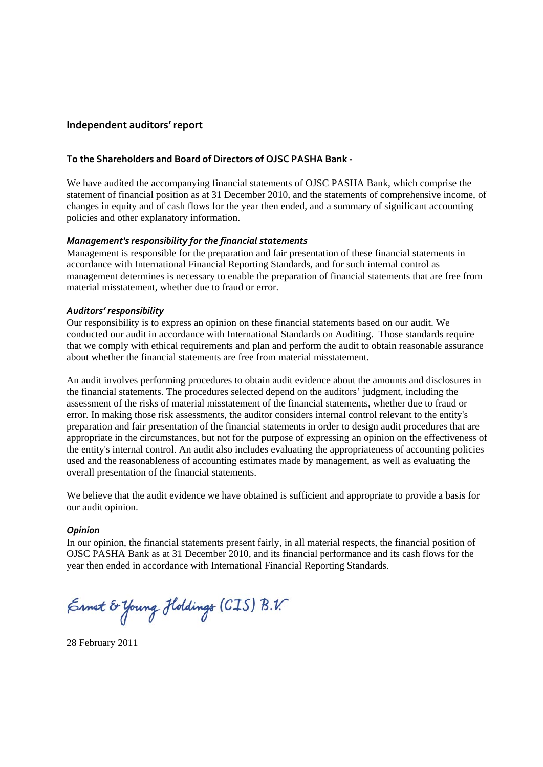## **Independent auditors' report**

## **To the Shareholders and Board of Directors of OJSC PASHA Bank ‐**

We have audited the accompanying financial statements of OJSC PASHA Bank, which comprise the statement of financial position as at 31 December 2010, and the statements of comprehensive income, of changes in equity and of cash flows for the year then ended, and a summary of significant accounting policies and other explanatory information.

## *Management's responsibility for the financial statements*

Management is responsible for the preparation and fair presentation of these financial statements in accordance with International Financial Reporting Standards, and for such internal control as management determines is necessary to enable the preparation of financial statements that are free from material misstatement, whether due to fraud or error.

## *Auditors' responsibility*

Our responsibility is to express an opinion on these financial statements based on our audit. We conducted our audit in accordance with International Standards on Auditing. Those standards require that we comply with ethical requirements and plan and perform the audit to obtain reasonable assurance about whether the financial statements are free from material misstatement.

An audit involves performing procedures to obtain audit evidence about the amounts and disclosures in the financial statements. The procedures selected depend on the auditors' judgment, including the assessment of the risks of material misstatement of the financial statements, whether due to fraud or error. In making those risk assessments, the auditor considers internal control relevant to the entity's preparation and fair presentation of the financial statements in order to design audit procedures that are appropriate in the circumstances, but not for the purpose of expressing an opinion on the effectiveness of the entity's internal control. An audit also includes evaluating the appropriateness of accounting policies used and the reasonableness of accounting estimates made by management, as well as evaluating the overall presentation of the financial statements.

We believe that the audit evidence we have obtained is sufficient and appropriate to provide a basis for our audit opinion.

## *Opinion*

In our opinion, the financial statements present fairly, in all material respects, the financial position of OJSC PASHA Bank as at 31 December 2010, and its financial performance and its cash flows for the year then ended in accordance with International Financial Reporting Standards.

Ernet & Young Holdings (CIS) B.V.

28 February 2011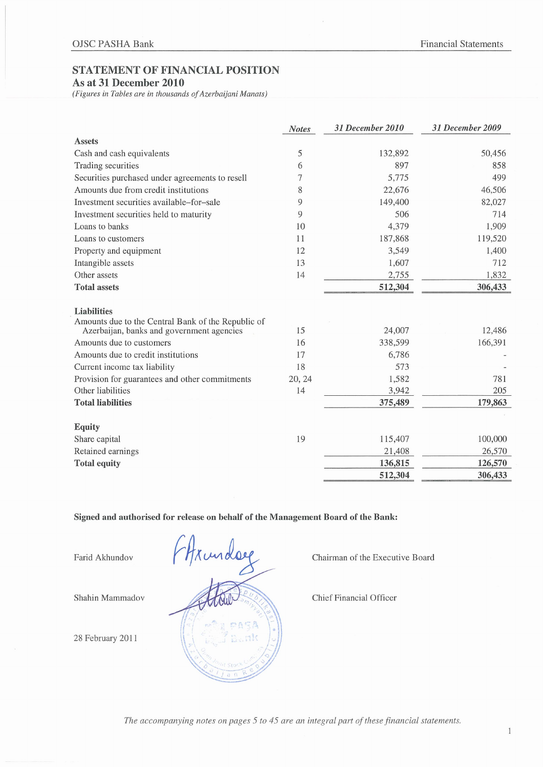## STATEMENT OF FINANCIAL POSITION

## As at 31 December 2010

(Figures in Tables are in thousands of Azerbaijani Manats)

|                                                                          | <b>Notes</b> | 31 December 2010 | 31 December 2009 |
|--------------------------------------------------------------------------|--------------|------------------|------------------|
| <b>Assets</b>                                                            |              |                  |                  |
| Cash and cash equivalents                                                | 5            | 132,892          | 50,456           |
| Trading securities                                                       | 6            | 897              | 858              |
| Securities purchased under agreements to resell                          | 7            | 5,775            | 499              |
| Amounts due from credit institutions                                     | 8            | 22,676           | 46,506           |
| Investment securities available–for–sale                                 | 9            | 149,400          | 82,027           |
| Investment securities held to maturity                                   | 9            | 506              | 714              |
| Loans to banks                                                           | 10           | 4,379            | 1,909            |
| Loans to customers                                                       | 11           | 187,868          | 119,520          |
| Property and equipment                                                   | 12           | 3,549            | 1,400            |
| Intangible assets                                                        | 13           | 1,607            | 712              |
| Other assets                                                             | 14           | 2,755            | 1,832            |
| <b>Total assets</b>                                                      |              | 512,304          | 306,433          |
| <b>Liabilities</b><br>Amounts due to the Central Bank of the Republic of |              |                  |                  |
| Azerbaijan, banks and government agencies                                | 15           | 24,007           | 12,486           |
| Amounts due to customers                                                 | 16           | 338,599          | 166,391          |
| Amounts due to credit institutions                                       | 17           | 6,786            |                  |
| Current income tax liability                                             | 18           | 573              |                  |
| Provision for guarantees and other commitments                           | 20, 24       | 1,582            | 781              |
| Other liabilities                                                        | 14           | 3,942            | 205              |
| <b>Total liabilities</b>                                                 |              | 375,489          | 179,863          |
| <b>Equity</b>                                                            |              |                  |                  |
| Share capital                                                            | 19           | 115,407          | 100,000          |
| Retained earnings                                                        |              | 21,408           | 26,570           |
| <b>Total equity</b>                                                      |              | 136,815          | 126,570          |
|                                                                          |              | 512,304          | 306,433          |

## Signed and authorised for release on behalf of the Management Board of the Bank:

Farid Akhundov

Shahin Mammadov

28 February 2011



Chairman of the Executive Board

**Chief Financial Officer** 

The accompanying notes on pages 5 to 45 are an integral part of these financial statements.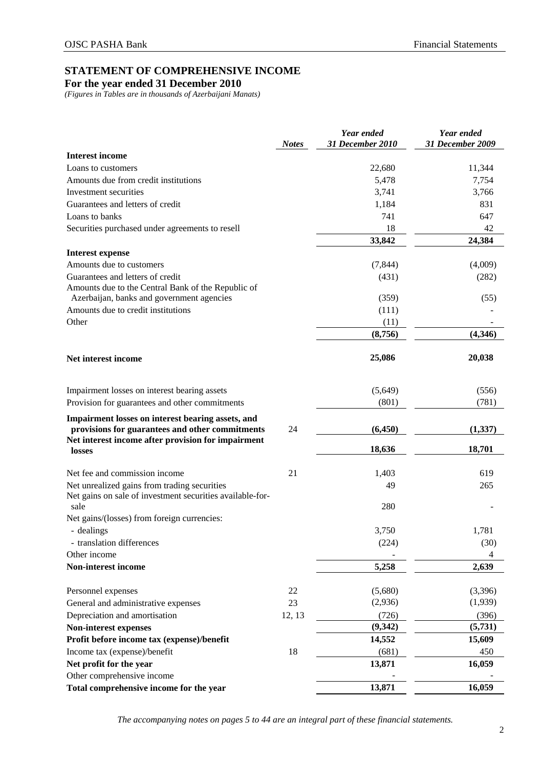## **STATEMENT OF COMPREHENSIVE INCOME**

**For the year ended 31 December 2010** 

*(Figures in Tables are in thousands of Azerbaijani Manats)* 

|                                                                                                      | <b>Notes</b> | Year ended<br>31 December 2010 | Year ended<br>31 December 2009 |
|------------------------------------------------------------------------------------------------------|--------------|--------------------------------|--------------------------------|
| <b>Interest income</b>                                                                               |              |                                |                                |
| Loans to customers                                                                                   |              | 22,680                         | 11,344                         |
| Amounts due from credit institutions                                                                 |              | 5,478                          | 7,754                          |
| Investment securities                                                                                |              | 3,741                          | 3,766                          |
| Guarantees and letters of credit                                                                     |              | 1,184                          | 831                            |
| Loans to banks                                                                                       |              | 741                            | 647                            |
| Securities purchased under agreements to resell                                                      |              | 18                             | 42                             |
|                                                                                                      |              | 33,842                         | 24,384                         |
| <b>Interest expense</b>                                                                              |              |                                |                                |
| Amounts due to customers                                                                             |              | (7, 844)                       | (4,009)                        |
| Guarantees and letters of credit                                                                     |              | (431)                          | (282)                          |
| Amounts due to the Central Bank of the Republic of                                                   |              |                                |                                |
| Azerbaijan, banks and government agencies                                                            |              | (359)                          | (55)                           |
| Amounts due to credit institutions                                                                   |              | (111)                          |                                |
| Other                                                                                                |              | (11)                           |                                |
|                                                                                                      |              | (8,756)                        | (4,346)                        |
| Net interest income                                                                                  |              | 25,086                         | 20,038                         |
| Impairment losses on interest bearing assets                                                         |              | (5,649)                        | (556)                          |
| Provision for guarantees and other commitments                                                       |              | (801)                          | (781)                          |
| Impairment losses on interest bearing assets, and<br>provisions for guarantees and other commitments | 24           | (6, 450)                       | (1, 337)                       |
| Net interest income after provision for impairment<br>losses                                         |              | 18,636                         | 18,701                         |
| Net fee and commission income                                                                        | 21           | 1,403                          | 619                            |
| Net unrealized gains from trading securities                                                         |              | 49                             | 265                            |
| Net gains on sale of investment securities available-for-<br>sale                                    |              | 280                            |                                |
| Net gains/(losses) from foreign currencies:                                                          |              |                                |                                |
| - dealings                                                                                           |              | 3,750                          | 1,781                          |
| - translation differences                                                                            |              | (224)                          | (30)                           |
| Other income                                                                                         |              |                                | 4                              |
| Non-interest income                                                                                  |              | 5,258                          | 2,639                          |
| Personnel expenses                                                                                   | 22           | (5,680)                        | (3,396)                        |
| General and administrative expenses                                                                  | 23           | (2,936)                        | (1,939)                        |
| Depreciation and amortisation                                                                        | 12, 13       | (726)                          | (396)                          |
| Non-interest expenses                                                                                |              | (9, 342)                       | (5, 731)                       |
| Profit before income tax (expense)/benefit                                                           |              | 14,552                         | 15,609                         |
| Income tax (expense)/benefit                                                                         | 18           | (681)                          | 450                            |
| Net profit for the year                                                                              |              | 13,871                         | 16,059                         |
| Other comprehensive income                                                                           |              |                                |                                |
| Total comprehensive income for the year                                                              |              | 13,871                         | 16,059                         |

*The accompanying notes on pages 5 to 44 are an integral part of these financial statements.*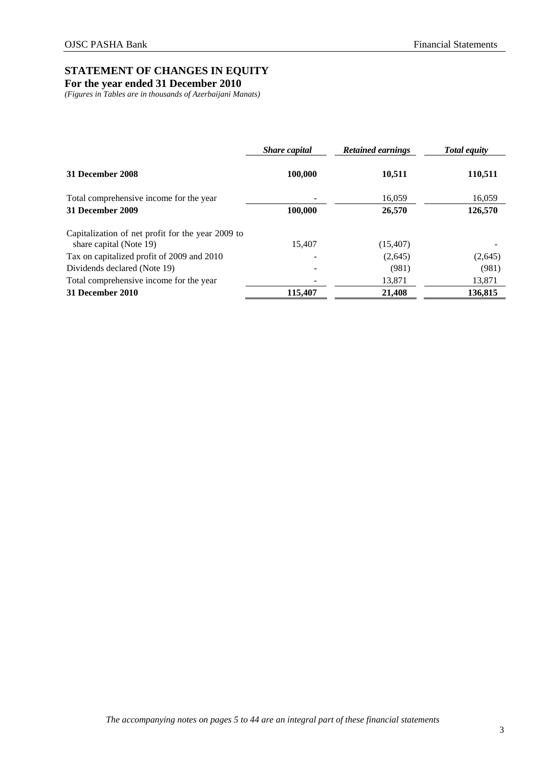## **STATEMENT OF CHANGES IN EQUITY**

**For the year ended 31 December 2010** 

*(Figures in Tables are in thousands of Azerbaijani Manats)* 

|                                                                              | <b>Share</b> capital | <b>Retained earnings</b> | <b>Total equity</b> |  |
|------------------------------------------------------------------------------|----------------------|--------------------------|---------------------|--|
| 31 December 2008                                                             | 100,000              | 10,511                   | 110,511             |  |
| Total comprehensive income for the year                                      |                      | 16,059                   | 16,059              |  |
| 31 December 2009                                                             | 100,000              | 26,570                   | 126,570             |  |
| Capitalization of net profit for the year 2009 to<br>share capital (Note 19) | 15.407               | (15, 407)                |                     |  |
| Tax on capitalized profit of 2009 and 2010                                   |                      | (2,645)                  | (2,645)             |  |
| Dividends declared (Note 19)                                                 |                      | (981)                    | (981)               |  |
| Total comprehensive income for the year                                      |                      | 13,871                   | 13,871              |  |
| 31 December 2010                                                             | 115,407              | 21,408                   | 136,815             |  |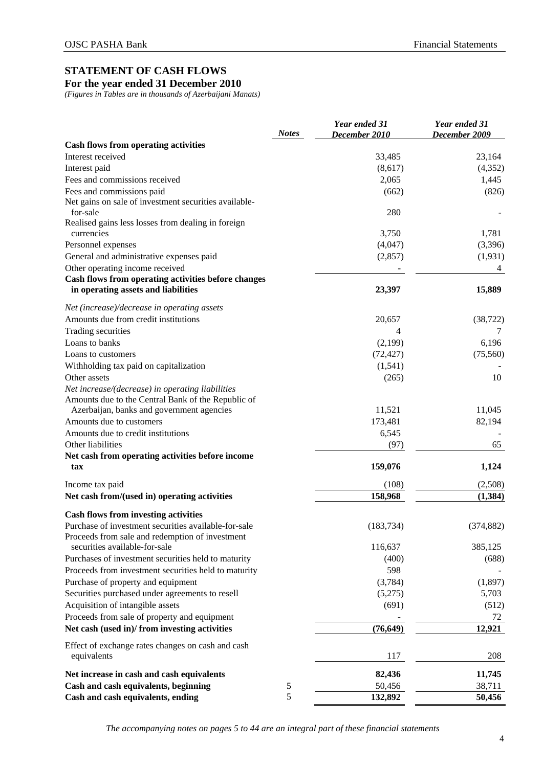## **STATEMENT OF CASH FLOWS**

**For the year ended 31 December 2010** 

*(Figures in Tables are in thousands of Azerbaijani Manats)* 

|                                                                                  | <b>Notes</b> | Year ended 31<br>December 2010 | Year ended 31<br>December 2009 |
|----------------------------------------------------------------------------------|--------------|--------------------------------|--------------------------------|
| <b>Cash flows from operating activities</b>                                      |              |                                |                                |
| Interest received                                                                |              | 33,485                         | 23,164                         |
| Interest paid                                                                    |              | (8,617)                        | (4,352)                        |
| Fees and commissions received                                                    |              | 2,065                          | 1,445                          |
| Fees and commissions paid                                                        |              | (662)                          | (826)                          |
| Net gains on sale of investment securities available-                            |              |                                |                                |
| for-sale                                                                         |              | 280                            |                                |
| Realised gains less losses from dealing in foreign<br>currencies                 |              | 3,750                          | 1,781                          |
| Personnel expenses                                                               |              | (4,047)                        | (3,396)                        |
| General and administrative expenses paid                                         |              | (2, 857)                       | (1,931)                        |
| Other operating income received                                                  |              |                                | 4                              |
| Cash flows from operating activities before changes                              |              |                                |                                |
| in operating assets and liabilities                                              |              | 23,397                         | 15,889                         |
| Net (increase)/decrease in operating assets                                      |              |                                |                                |
| Amounts due from credit institutions                                             |              | 20,657                         | (38, 722)                      |
| Trading securities                                                               |              | 4                              |                                |
| Loans to banks                                                                   |              | (2,199)                        | 6,196                          |
| Loans to customers                                                               |              | (72, 427)                      | (75, 560)                      |
| Withholding tax paid on capitalization                                           |              | (1,541)                        |                                |
| Other assets                                                                     |              | (265)                          | 10                             |
| Net increase/(decrease) in operating liabilities                                 |              |                                |                                |
| Amounts due to the Central Bank of the Republic of                               |              |                                |                                |
| Azerbaijan, banks and government agencies                                        |              | 11,521                         | 11,045                         |
| Amounts due to customers                                                         |              | 173,481                        | 82,194                         |
| Amounts due to credit institutions                                               |              | 6,545                          |                                |
| Other liabilities                                                                |              | (97)                           | 65                             |
| Net cash from operating activities before income                                 |              |                                |                                |
| tax                                                                              |              | 159,076                        | 1,124                          |
| Income tax paid                                                                  |              | (108)                          | (2,508)                        |
| Net cash from/(used in) operating activities                                     |              | 158,968                        | (1, 384)                       |
| <b>Cash flows from investing activities</b>                                      |              |                                |                                |
| Purchase of investment securities available-for-sale                             |              | (183, 734)                     | (374, 882)                     |
| Proceeds from sale and redemption of investment<br>securities available-for-sale |              | 116,637                        | 385,125                        |
|                                                                                  |              |                                |                                |
| Purchases of investment securities held to maturity                              |              | (400)                          | (688)                          |
| Proceeds from investment securities held to maturity                             |              | 598                            |                                |
| Purchase of property and equipment                                               |              | (3,784)                        | (1,897)                        |
| Securities purchased under agreements to resell                                  |              | (5,275)                        | 5,703                          |
| Acquisition of intangible assets                                                 |              | (691)                          | (512)                          |
| Proceeds from sale of property and equipment                                     |              |                                | 72                             |
| Net cash (used in)/ from investing activities                                    |              | (76, 649)                      | 12,921                         |
| Effect of exchange rates changes on cash and cash<br>equivalents                 |              | 117                            | 208                            |
| Net increase in cash and cash equivalents                                        |              | 82,436                         | 11,745                         |
| Cash and cash equivalents, beginning                                             | 5            | 50,456                         | 38,711                         |
| Cash and cash equivalents, ending                                                | 5            | 132,892                        | 50,456                         |

*The accompanying notes on pages 5 to 44 are an integral part of these financial statements*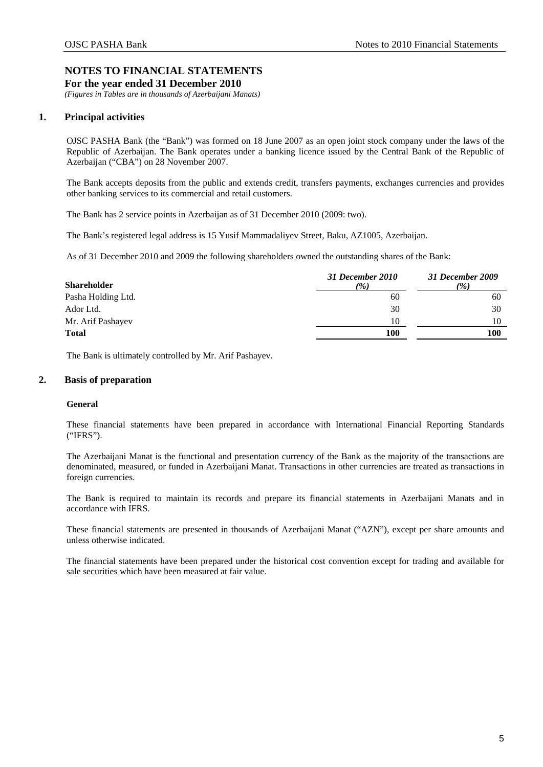*(Figures in Tables are in thousands of Azerbaijani Manats)* 

## <span id="page-7-0"></span>**1. Principal activities**

OJSC PASHA Bank (the "Bank") was formed on 18 June 2007 as an open joint stock company under the laws of the Republic of Azerbaijan. The Bank operates under a banking licence issued by the Central Bank of the Republic of Azerbaijan ("CBA") on 28 November 2007.

The Bank accepts deposits from the public and extends credit, transfers payments, exchanges currencies and provides other banking services to its commercial and retail customers.

The Bank has 2 service points in Azerbaijan as of 31 December 2010 (2009: two).

The Bank's registered legal address is 15 Yusif Mammadaliyev Street, Baku, AZ1005, Azerbaijan.

As of 31 December 2010 and 2009 the following shareholders owned the outstanding shares of the Bank:

| 31 December 2010<br>(%) | 31 December 2009<br>(%) |
|-------------------------|-------------------------|
| 60                      | 60                      |
| 30                      | 30                      |
| 10                      | 10                      |
| 100                     | 100                     |
|                         |                         |

The Bank is ultimately controlled by Mr. Arif Pashayev.

## <span id="page-7-1"></span>**2. Basis of preparation**

## **General**

These financial statements have been prepared in accordance with International Financial Reporting Standards ("IFRS").

The Azerbaijani Manat is the functional and presentation currency of the Bank as the majority of the transactions are denominated, measured, or funded in Azerbaijani Manat. Transactions in other currencies are treated as transactions in foreign currencies.

The Bank is required to maintain its records and prepare its financial statements in Azerbaijani Manats and in accordance with IFRS.

These financial statements are presented in thousands of Azerbaijani Manat ("AZN"), except per share amounts and unless otherwise indicated.

The financial statements have been prepared under the historical cost convention except for trading and available for sale securities which have been measured at fair value.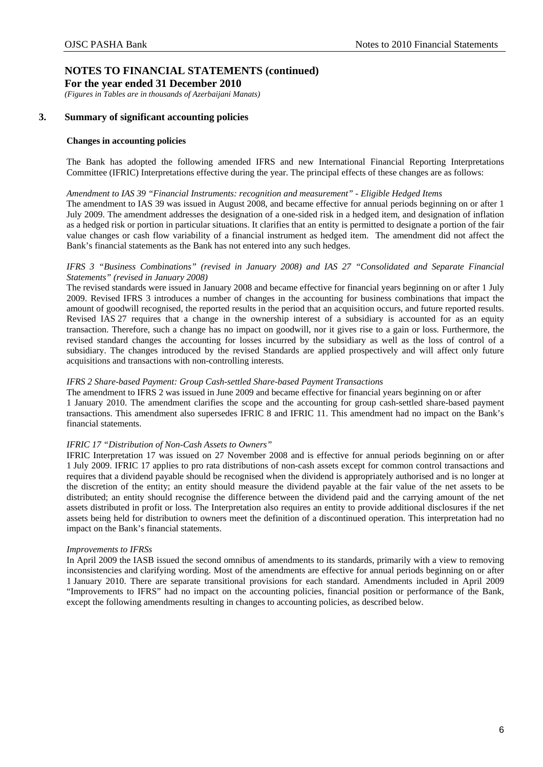**For the year ended 31 December 2010** 

*(Figures in Tables are in thousands of Azerbaijani Manats)* 

## <span id="page-8-0"></span>**3. Summary of significant accounting policies**

### **Changes in accounting policies**

The Bank has adopted the following amended IFRS and new International Financial Reporting Interpretations Committee (IFRIC) Interpretations effective during the year. The principal effects of these changes are as follows:

### *Amendment to IAS 39 "Financial Instruments: recognition and measurement" - Eligible Hedged Items*

The amendment to IAS 39 was issued in August 2008, and became effective for annual periods beginning on or after 1 July 2009. The amendment addresses the designation of a one-sided risk in a hedged item, and designation of inflation as a hedged risk or portion in particular situations. It clarifies that an entity is permitted to designate a portion of the fair value changes or cash flow variability of a financial instrument as hedged item. The amendment did not affect the Bank's financial statements as the Bank has not entered into any such hedges.

## *IFRS 3 "Business Combinations" (revised in January 2008) and IAS 27 "Consolidated and Separate Financial Statements" (revised in January 2008)*

The revised standards were issued in January 2008 and became effective for financial years beginning on or after 1 July 2009. Revised IFRS 3 introduces a number of changes in the accounting for business combinations that impact the amount of goodwill recognised, the reported results in the period that an acquisition occurs, and future reported results. Revised IAS 27 requires that a change in the ownership interest of a subsidiary is accounted for as an equity transaction. Therefore, such a change has no impact on goodwill, nor it gives rise to a gain or loss. Furthermore, the revised standard changes the accounting for losses incurred by the subsidiary as well as the loss of control of a subsidiary. The changes introduced by the revised Standards are applied prospectively and will affect only future acquisitions and transactions with non-controlling interests.

### *IFRS 2 Share-based Payment: Group Cash-settled Share-based Payment Transactions*

The amendment to IFRS 2 was issued in June 2009 and became effective for financial years beginning on or after 1 January 2010. The amendment clarifies the scope and the accounting for group cash-settled share-based payment transactions. This amendment also supersedes IFRIC 8 and IFRIC 11. This amendment had no impact on the Bank's financial statements.

## *IFRIC 17 "Distribution of Non-Cash Assets to Owners"*

IFRIC Interpretation 17 was issued on 27 November 2008 and is effective for annual periods beginning on or after 1 July 2009. IFRIC 17 applies to pro rata distributions of non-cash assets except for common control transactions and requires that a dividend payable should be recognised when the dividend is appropriately authorised and is no longer at the discretion of the entity; an entity should measure the dividend payable at the fair value of the net assets to be distributed; an entity should recognise the difference between the dividend paid and the carrying amount of the net assets distributed in profit or loss. The Interpretation also requires an entity to provide additional disclosures if the net assets being held for distribution to owners meet the definition of a discontinued operation. This interpretation had no impact on the Bank's financial statements.

### *Improvements to IFRSs*

In April 2009 the IASB issued the second omnibus of amendments to its standards, primarily with a view to removing inconsistencies and clarifying wording. Most of the amendments are effective for annual periods beginning on or after 1 January 2010. There are separate transitional provisions for each standard. Amendments included in April 2009 "Improvements to IFRS" had no impact on the accounting policies, financial position or performance of the Bank, except the following amendments resulting in changes to accounting policies, as described below.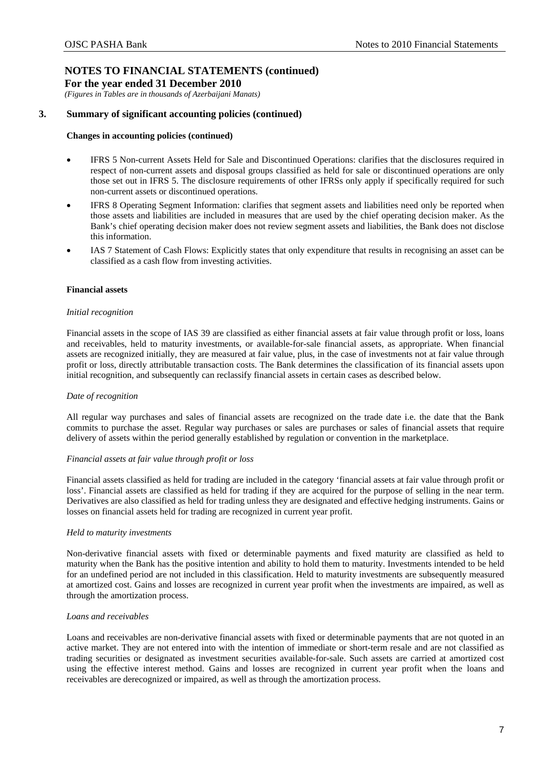**For the year ended 31 December 2010**  *(Figures in Tables are in thousands of Azerbaijani Manats)* 

**3. Summary of significant accounting policies (continued)** 

## **Changes in accounting policies (continued)**

- IFRS 5 Non-current Assets Held for Sale and Discontinued Operations: clarifies that the disclosures required in respect of non-current assets and disposal groups classified as held for sale or discontinued operations are only those set out in IFRS 5. The disclosure requirements of other IFRSs only apply if specifically required for such non-current assets or discontinued operations.
- IFRS 8 Operating Segment Information: clarifies that segment assets and liabilities need only be reported when those assets and liabilities are included in measures that are used by the chief operating decision maker. As the Bank's chief operating decision maker does not review segment assets and liabilities, the Bank does not disclose this information.
- IAS 7 Statement of Cash Flows: Explicitly states that only expenditure that results in recognising an asset can be classified as a cash flow from investing activities.

## **Financial assets**

## *Initial recognition*

Financial assets in the scope of IAS 39 are classified as either financial assets at fair value through profit or loss, loans and receivables, held to maturity investments, or available-for-sale financial assets, as appropriate. When financial assets are recognized initially, they are measured at fair value, plus, in the case of investments not at fair value through profit or loss, directly attributable transaction costs. The Bank determines the classification of its financial assets upon initial recognition, and subsequently can reclassify financial assets in certain cases as described below.

## *Date of recognition*

All regular way purchases and sales of financial assets are recognized on the trade date i.e. the date that the Bank commits to purchase the asset. Regular way purchases or sales are purchases or sales of financial assets that require delivery of assets within the period generally established by regulation or convention in the marketplace.

## *Financial assets at fair value through profit or loss*

Financial assets classified as held for trading are included in the category 'financial assets at fair value through profit or loss'. Financial assets are classified as held for trading if they are acquired for the purpose of selling in the near term. Derivatives are also classified as held for trading unless they are designated and effective hedging instruments. Gains or losses on financial assets held for trading are recognized in current year profit.

## *Held to maturity investments*

Non-derivative financial assets with fixed or determinable payments and fixed maturity are classified as held to maturity when the Bank has the positive intention and ability to hold them to maturity. Investments intended to be held for an undefined period are not included in this classification. Held to maturity investments are subsequently measured at amortized cost. Gains and losses are recognized in current year profit when the investments are impaired, as well as through the amortization process.

## *Loans and receivables*

Loans and receivables are non-derivative financial assets with fixed or determinable payments that are not quoted in an active market. They are not entered into with the intention of immediate or short-term resale and are not classified as trading securities or designated as investment securities available-for-sale. Such assets are carried at amortized cost using the effective interest method. Gains and losses are recognized in current year profit when the loans and receivables are derecognized or impaired, as well as through the amortization process.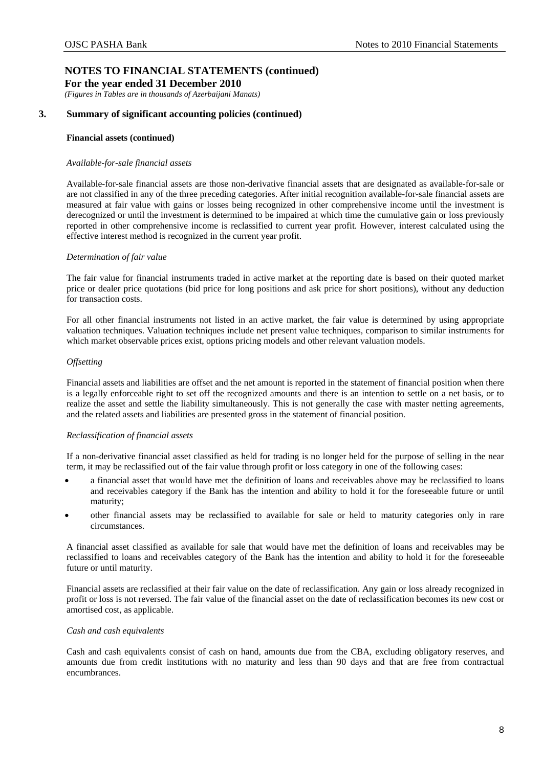*(Figures in Tables are in thousands of Azerbaijani Manats)* 

## **3. Summary of significant accounting policies (continued)**

### **Financial assets (continued)**

### *Available-for-sale financial assets*

Available-for-sale financial assets are those non-derivative financial assets that are designated as available-for-sale or are not classified in any of the three preceding categories. After initial recognition available-for-sale financial assets are measured at fair value with gains or losses being recognized in other comprehensive income until the investment is derecognized or until the investment is determined to be impaired at which time the cumulative gain or loss previously reported in other comprehensive income is reclassified to current year profit. However, interest calculated using the effective interest method is recognized in the current year profit.

### *Determination of fair value*

The fair value for financial instruments traded in active market at the reporting date is based on their quoted market price or dealer price quotations (bid price for long positions and ask price for short positions), without any deduction for transaction costs.

For all other financial instruments not listed in an active market, the fair value is determined by using appropriate valuation techniques. Valuation techniques include net present value techniques, comparison to similar instruments for which market observable prices exist, options pricing models and other relevant valuation models.

### *Offsetting*

Financial assets and liabilities are offset and the net amount is reported in the statement of financial position when there is a legally enforceable right to set off the recognized amounts and there is an intention to settle on a net basis, or to realize the asset and settle the liability simultaneously. This is not generally the case with master netting agreements, and the related assets and liabilities are presented gross in the statement of financial position.

### *Reclassification of financial assets*

If a non-derivative financial asset classified as held for trading is no longer held for the purpose of selling in the near term, it may be reclassified out of the fair value through profit or loss category in one of the following cases:

- a financial asset that would have met the definition of loans and receivables above may be reclassified to loans and receivables category if the Bank has the intention and ability to hold it for the foreseeable future or until maturity;
- other financial assets may be reclassified to available for sale or held to maturity categories only in rare circumstances.

A financial asset classified as available for sale that would have met the definition of loans and receivables may be reclassified to loans and receivables category of the Bank has the intention and ability to hold it for the foreseeable future or until maturity.

Financial assets are reclassified at their fair value on the date of reclassification. Any gain or loss already recognized in profit or loss is not reversed. The fair value of the financial asset on the date of reclassification becomes its new cost or amortised cost, as applicable.

### *Cash and cash equivalents*

Cash and cash equivalents consist of cash on hand, amounts due from the CBA, excluding obligatory reserves, and amounts due from credit institutions with no maturity and less than 90 days and that are free from contractual encumbrances.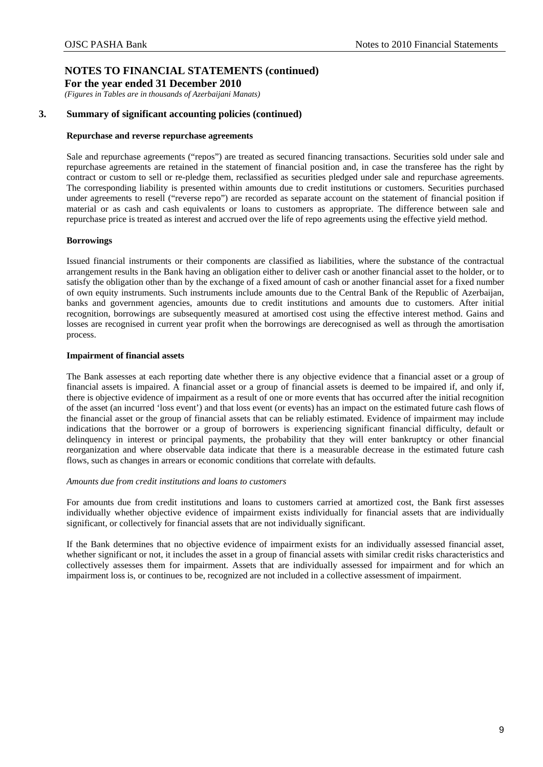*(Figures in Tables are in thousands of Azerbaijani Manats)* 

## **3. Summary of significant accounting policies (continued)**

### **Repurchase and reverse repurchase agreements**

Sale and repurchase agreements ("repos") are treated as secured financing transactions. Securities sold under sale and repurchase agreements are retained in the statement of financial position and, in case the transferee has the right by contract or custom to sell or re-pledge them, reclassified as securities pledged under sale and repurchase agreements. The corresponding liability is presented within amounts due to credit institutions or customers. Securities purchased under agreements to resell ("reverse repo") are recorded as separate account on the statement of financial position if material or as cash and cash equivalents or loans to customers as appropriate. The difference between sale and repurchase price is treated as interest and accrued over the life of repo agreements using the effective yield method.

### **Borrowings**

Issued financial instruments or their components are classified as liabilities, where the substance of the contractual arrangement results in the Bank having an obligation either to deliver cash or another financial asset to the holder, or to satisfy the obligation other than by the exchange of a fixed amount of cash or another financial asset for a fixed number of own equity instruments. Such instruments include amounts due to the Central Bank of the Republic of Azerbaijan, banks and government agencies, amounts due to credit institutions and amounts due to customers. After initial recognition, borrowings are subsequently measured at amortised cost using the effective interest method. Gains and losses are recognised in current year profit when the borrowings are derecognised as well as through the amortisation process.

### **Impairment of financial assets**

The Bank assesses at each reporting date whether there is any objective evidence that a financial asset or a group of financial assets is impaired. A financial asset or a group of financial assets is deemed to be impaired if, and only if, there is objective evidence of impairment as a result of one or more events that has occurred after the initial recognition of the asset (an incurred 'loss event') and that loss event (or events) has an impact on the estimated future cash flows of the financial asset or the group of financial assets that can be reliably estimated. Evidence of impairment may include indications that the borrower or a group of borrowers is experiencing significant financial difficulty, default or delinquency in interest or principal payments, the probability that they will enter bankruptcy or other financial reorganization and where observable data indicate that there is a measurable decrease in the estimated future cash flows, such as changes in arrears or economic conditions that correlate with defaults.

### *Amounts due from credit institutions and loans to customers*

For amounts due from credit institutions and loans to customers carried at amortized cost, the Bank first assesses individually whether objective evidence of impairment exists individually for financial assets that are individually significant, or collectively for financial assets that are not individually significant.

If the Bank determines that no objective evidence of impairment exists for an individually assessed financial asset, whether significant or not, it includes the asset in a group of financial assets with similar credit risks characteristics and collectively assesses them for impairment. Assets that are individually assessed for impairment and for which an impairment loss is, or continues to be, recognized are not included in a collective assessment of impairment.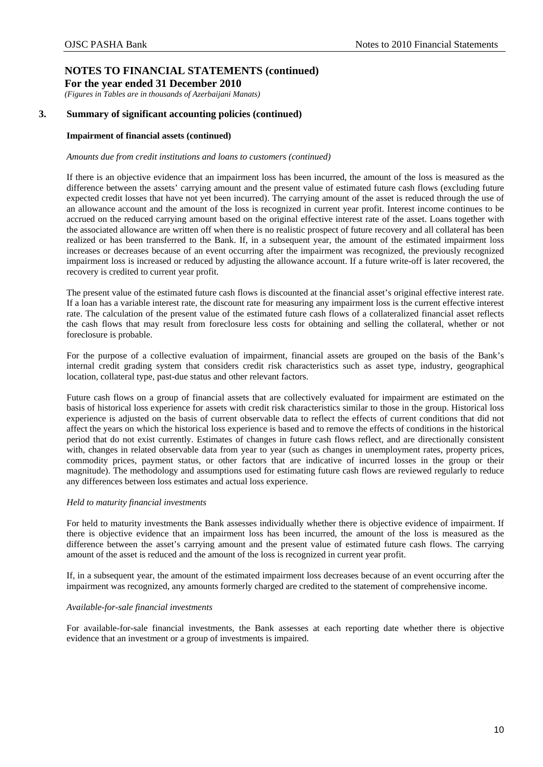*(Figures in Tables are in thousands of Azerbaijani Manats)* 

## **3. Summary of significant accounting policies (continued)**

### **Impairment of financial assets (continued)**

#### *Amounts due from credit institutions and loans to customers (continued)*

If there is an objective evidence that an impairment loss has been incurred, the amount of the loss is measured as the difference between the assets' carrying amount and the present value of estimated future cash flows (excluding future expected credit losses that have not yet been incurred). The carrying amount of the asset is reduced through the use of an allowance account and the amount of the loss is recognized in current year profit. Interest income continues to be accrued on the reduced carrying amount based on the original effective interest rate of the asset. Loans together with the associated allowance are written off when there is no realistic prospect of future recovery and all collateral has been realized or has been transferred to the Bank. If, in a subsequent year, the amount of the estimated impairment loss increases or decreases because of an event occurring after the impairment was recognized, the previously recognized impairment loss is increased or reduced by adjusting the allowance account. If a future write-off is later recovered, the recovery is credited to current year profit.

The present value of the estimated future cash flows is discounted at the financial asset's original effective interest rate. If a loan has a variable interest rate, the discount rate for measuring any impairment loss is the current effective interest rate. The calculation of the present value of the estimated future cash flows of a collateralized financial asset reflects the cash flows that may result from foreclosure less costs for obtaining and selling the collateral, whether or not foreclosure is probable.

For the purpose of a collective evaluation of impairment, financial assets are grouped on the basis of the Bank's internal credit grading system that considers credit risk characteristics such as asset type, industry, geographical location, collateral type, past-due status and other relevant factors.

Future cash flows on a group of financial assets that are collectively evaluated for impairment are estimated on the basis of historical loss experience for assets with credit risk characteristics similar to those in the group. Historical loss experience is adjusted on the basis of current observable data to reflect the effects of current conditions that did not affect the years on which the historical loss experience is based and to remove the effects of conditions in the historical period that do not exist currently. Estimates of changes in future cash flows reflect, and are directionally consistent with, changes in related observable data from year to year (such as changes in unemployment rates, property prices, commodity prices, payment status, or other factors that are indicative of incurred losses in the group or their magnitude). The methodology and assumptions used for estimating future cash flows are reviewed regularly to reduce any differences between loss estimates and actual loss experience.

### *Held to maturity financial investments*

For held to maturity investments the Bank assesses individually whether there is objective evidence of impairment. If there is objective evidence that an impairment loss has been incurred, the amount of the loss is measured as the difference between the asset's carrying amount and the present value of estimated future cash flows. The carrying amount of the asset is reduced and the amount of the loss is recognized in current year profit.

If, in a subsequent year, the amount of the estimated impairment loss decreases because of an event occurring after the impairment was recognized, any amounts formerly charged are credited to the statement of comprehensive income.

### *Available-for-sale financial investments*

For available-for-sale financial investments, the Bank assesses at each reporting date whether there is objective evidence that an investment or a group of investments is impaired.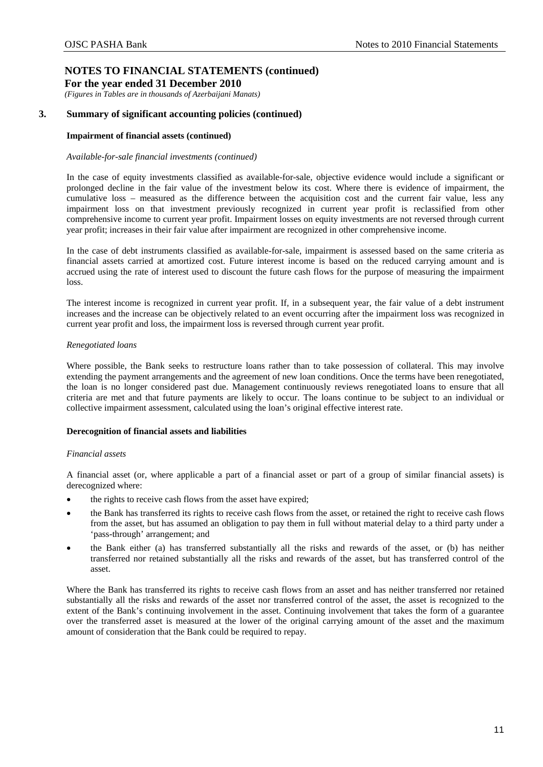*(Figures in Tables are in thousands of Azerbaijani Manats)* 

## **3. Summary of significant accounting policies (continued)**

### **Impairment of financial assets (continued)**

### *Available-for-sale financial investments (continued)*

In the case of equity investments classified as available-for-sale, objective evidence would include a significant or prolonged decline in the fair value of the investment below its cost. Where there is evidence of impairment, the cumulative loss – measured as the difference between the acquisition cost and the current fair value, less any impairment loss on that investment previously recognized in current year profit is reclassified from other comprehensive income to current year profit. Impairment losses on equity investments are not reversed through current year profit; increases in their fair value after impairment are recognized in other comprehensive income.

In the case of debt instruments classified as available-for-sale, impairment is assessed based on the same criteria as financial assets carried at amortized cost. Future interest income is based on the reduced carrying amount and is accrued using the rate of interest used to discount the future cash flows for the purpose of measuring the impairment loss.

The interest income is recognized in current year profit. If, in a subsequent year, the fair value of a debt instrument increases and the increase can be objectively related to an event occurring after the impairment loss was recognized in current year profit and loss, the impairment loss is reversed through current year profit.

### *Renegotiated loans*

Where possible, the Bank seeks to restructure loans rather than to take possession of collateral. This may involve extending the payment arrangements and the agreement of new loan conditions. Once the terms have been renegotiated, the loan is no longer considered past due. Management continuously reviews renegotiated loans to ensure that all criteria are met and that future payments are likely to occur. The loans continue to be subject to an individual or collective impairment assessment, calculated using the loan's original effective interest rate.

### **Derecognition of financial assets and liabilities**

### *Financial assets*

A financial asset (or, where applicable a part of a financial asset or part of a group of similar financial assets) is derecognized where:

- the rights to receive cash flows from the asset have expired;
- the Bank has transferred its rights to receive cash flows from the asset, or retained the right to receive cash flows from the asset, but has assumed an obligation to pay them in full without material delay to a third party under a 'pass-through' arrangement; and
- the Bank either (a) has transferred substantially all the risks and rewards of the asset, or (b) has neither transferred nor retained substantially all the risks and rewards of the asset, but has transferred control of the asset.

Where the Bank has transferred its rights to receive cash flows from an asset and has neither transferred nor retained substantially all the risks and rewards of the asset nor transferred control of the asset, the asset is recognized to the extent of the Bank's continuing involvement in the asset. Continuing involvement that takes the form of a guarantee over the transferred asset is measured at the lower of the original carrying amount of the asset and the maximum amount of consideration that the Bank could be required to repay.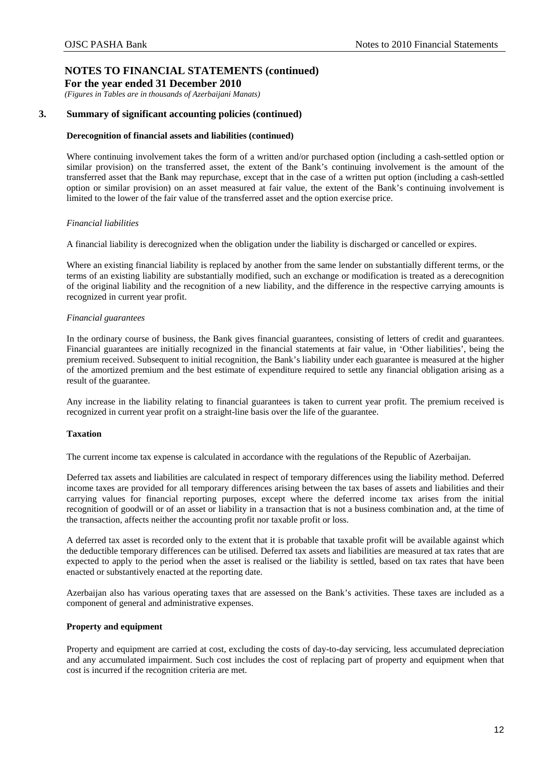*(Figures in Tables are in thousands of Azerbaijani Manats)* 

## **3. Summary of significant accounting policies (continued)**

### **Derecognition of financial assets and liabilities (continued)**

Where continuing involvement takes the form of a written and/or purchased option (including a cash-settled option or similar provision) on the transferred asset, the extent of the Bank's continuing involvement is the amount of the transferred asset that the Bank may repurchase, except that in the case of a written put option (including a cash-settled option or similar provision) on an asset measured at fair value, the extent of the Bank's continuing involvement is limited to the lower of the fair value of the transferred asset and the option exercise price.

### *Financial liabilities*

A financial liability is derecognized when the obligation under the liability is discharged or cancelled or expires.

Where an existing financial liability is replaced by another from the same lender on substantially different terms, or the terms of an existing liability are substantially modified, such an exchange or modification is treated as a derecognition of the original liability and the recognition of a new liability, and the difference in the respective carrying amounts is recognized in current year profit.

### *Financial guarantees*

In the ordinary course of business, the Bank gives financial guarantees, consisting of letters of credit and guarantees. Financial guarantees are initially recognized in the financial statements at fair value, in 'Other liabilities', being the premium received. Subsequent to initial recognition, the Bank's liability under each guarantee is measured at the higher of the amortized premium and the best estimate of expenditure required to settle any financial obligation arising as a result of the guarantee.

Any increase in the liability relating to financial guarantees is taken to current year profit. The premium received is recognized in current year profit on a straight-line basis over the life of the guarantee.

### **Taxation**

The current income tax expense is calculated in accordance with the regulations of the Republic of Azerbaijan.

Deferred tax assets and liabilities are calculated in respect of temporary differences using the liability method. Deferred income taxes are provided for all temporary differences arising between the tax bases of assets and liabilities and their carrying values for financial reporting purposes, except where the deferred income tax arises from the initial recognition of goodwill or of an asset or liability in a transaction that is not a business combination and, at the time of the transaction, affects neither the accounting profit nor taxable profit or loss.

A deferred tax asset is recorded only to the extent that it is probable that taxable profit will be available against which the deductible temporary differences can be utilised. Deferred tax assets and liabilities are measured at tax rates that are expected to apply to the period when the asset is realised or the liability is settled, based on tax rates that have been enacted or substantively enacted at the reporting date.

Azerbaijan also has various operating taxes that are assessed on the Bank's activities. These taxes are included as a component of general and administrative expenses.

### **Property and equipment**

Property and equipment are carried at cost, excluding the costs of day-to-day servicing, less accumulated depreciation and any accumulated impairment. Such cost includes the cost of replacing part of property and equipment when that cost is incurred if the recognition criteria are met.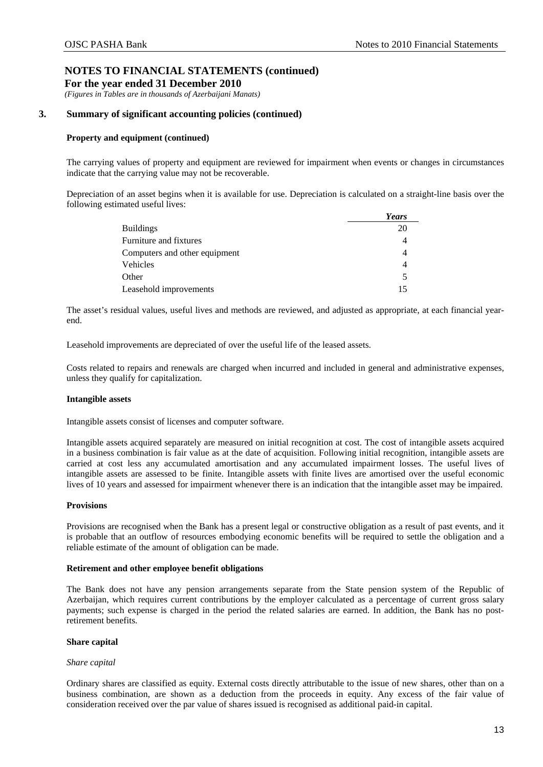*(Figures in Tables are in thousands of Azerbaijani Manats)* 

## **3. Summary of significant accounting policies (continued)**

### **Property and equipment (continued)**

The carrying values of property and equipment are reviewed for impairment when events or changes in circumstances indicate that the carrying value may not be recoverable.

Depreciation of an asset begins when it is available for use. Depreciation is calculated on a straight-line basis over the following estimated useful lives:

|                               | Years |
|-------------------------------|-------|
| <b>Buildings</b>              | 20    |
| Furniture and fixtures        |       |
| Computers and other equipment | 4     |
| Vehicles                      |       |
| Other                         | 5     |
| Leasehold improvements        |       |

The asset's residual values, useful lives and methods are reviewed, and adjusted as appropriate, at each financial yearend.

Leasehold improvements are depreciated of over the useful life of the leased assets.

Costs related to repairs and renewals are charged when incurred and included in general and administrative expenses, unless they qualify for capitalization.

### **Intangible assets**

Intangible assets consist of licenses and computer software.

Intangible assets acquired separately are measured on initial recognition at cost. The cost of intangible assets acquired in a business combination is fair value as at the date of acquisition. Following initial recognition, intangible assets are carried at cost less any accumulated amortisation and any accumulated impairment losses. The useful lives of intangible assets are assessed to be finite. Intangible assets with finite lives are amortised over the useful economic lives of 10 years and assessed for impairment whenever there is an indication that the intangible asset may be impaired.

## **Provisions**

Provisions are recognised when the Bank has a present legal or constructive obligation as a result of past events, and it is probable that an outflow of resources embodying economic benefits will be required to settle the obligation and a reliable estimate of the amount of obligation can be made.

### **Retirement and other employee benefit obligations**

The Bank does not have any pension arrangements separate from the State pension system of the Republic of Azerbaijan, which requires current contributions by the employer calculated as a percentage of current gross salary payments; such expense is charged in the period the related salaries are earned. In addition, the Bank has no postretirement benefits.

### **Share capital**

### *Share capital*

Ordinary shares are classified as equity. External costs directly attributable to the issue of new shares, other than on a business combination, are shown as a deduction from the proceeds in equity. Any excess of the fair value of consideration received over the par value of shares issued is recognised as additional paid-in capital.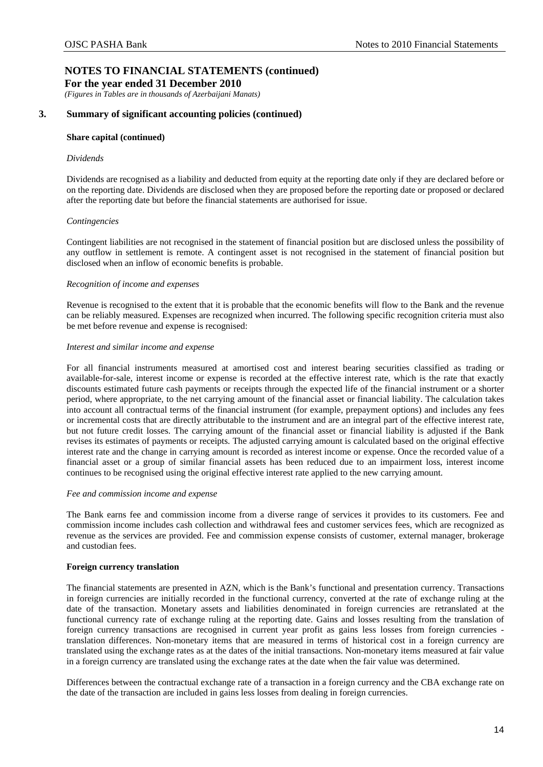**For the year ended 31 December 2010** 

*(Figures in Tables are in thousands of Azerbaijani Manats)* 

## **3. Summary of significant accounting policies (continued)**

## **Share capital (continued)**

### *Dividends*

Dividends are recognised as a liability and deducted from equity at the reporting date only if they are declared before or on the reporting date. Dividends are disclosed when they are proposed before the reporting date or proposed or declared after the reporting date but before the financial statements are authorised for issue.

### *Contingencies*

Contingent liabilities are not recognised in the statement of financial position but are disclosed unless the possibility of any outflow in settlement is remote. A contingent asset is not recognised in the statement of financial position but disclosed when an inflow of economic benefits is probable.

### *Recognition of income and expenses*

Revenue is recognised to the extent that it is probable that the economic benefits will flow to the Bank and the revenue can be reliably measured. Expenses are recognized when incurred. The following specific recognition criteria must also be met before revenue and expense is recognised:

### *Interest and similar income and expense*

For all financial instruments measured at amortised cost and interest bearing securities classified as trading or available-for-sale, interest income or expense is recorded at the effective interest rate, which is the rate that exactly discounts estimated future cash payments or receipts through the expected life of the financial instrument or a shorter period, where appropriate, to the net carrying amount of the financial asset or financial liability. The calculation takes into account all contractual terms of the financial instrument (for example, prepayment options) and includes any fees or incremental costs that are directly attributable to the instrument and are an integral part of the effective interest rate, but not future credit losses. The carrying amount of the financial asset or financial liability is adjusted if the Bank revises its estimates of payments or receipts. The adjusted carrying amount is calculated based on the original effective interest rate and the change in carrying amount is recorded as interest income or expense. Once the recorded value of a financial asset or a group of similar financial assets has been reduced due to an impairment loss, interest income continues to be recognised using the original effective interest rate applied to the new carrying amount.

### *Fee and commission income and expense*

The Bank earns fee and commission income from a diverse range of services it provides to its customers. Fee and commission income includes cash collection and withdrawal fees and customer services fees, which are recognized as revenue as the services are provided. Fee and commission expense consists of customer, external manager, brokerage and custodian fees.

## **Foreign currency translation**

The financial statements are presented in AZN, which is the Bank's functional and presentation currency. Transactions in foreign currencies are initially recorded in the functional currency, converted at the rate of exchange ruling at the date of the transaction. Monetary assets and liabilities denominated in foreign currencies are retranslated at the functional currency rate of exchange ruling at the reporting date. Gains and losses resulting from the translation of foreign currency transactions are recognised in current year profit as gains less losses from foreign currencies translation differences. Non-monetary items that are measured in terms of historical cost in a foreign currency are translated using the exchange rates as at the dates of the initial transactions. Non-monetary items measured at fair value in a foreign currency are translated using the exchange rates at the date when the fair value was determined.

Differences between the contractual exchange rate of a transaction in a foreign currency and the CBA exchange rate on the date of the transaction are included in gains less losses from dealing in foreign currencies.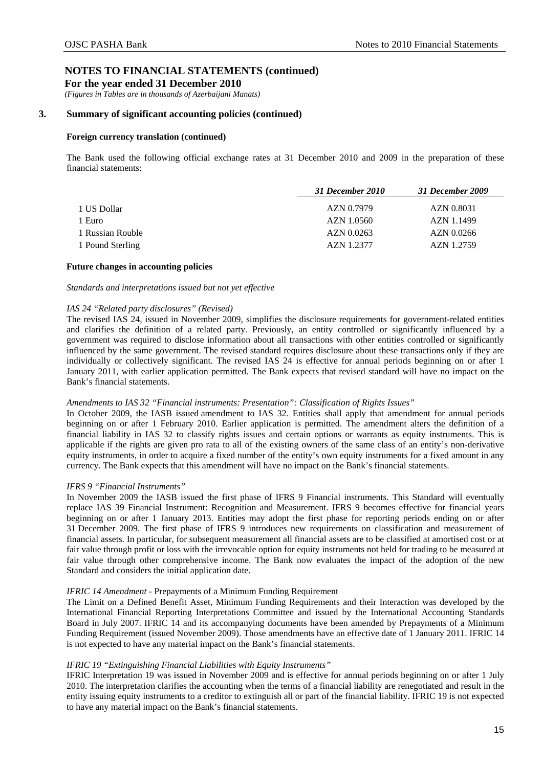*(Figures in Tables are in thousands of Azerbaijani Manats)* 

## **3. Summary of significant accounting policies (continued)**

### **Foreign currency translation (continued)**

The Bank used the following official exchange rates at 31 December 2010 and 2009 in the preparation of these financial statements:

|                  | 31 December 2010 | 31 December 2009 |  |
|------------------|------------------|------------------|--|
| 1 US Dollar      | AZN 0.7979       | AZN 0.8031       |  |
| 1 Euro           | AZN 1.0560       | AZN 1.1499       |  |
| 1 Russian Rouble | AZN 0.0263       | AZN 0.0266       |  |
| 1 Pound Sterling | AZN 1.2377       | AZN 1.2759       |  |

### **Future changes in accounting policies**

### *Standards and interpretations issued but not yet effective*

### *IAS 24 "Related party disclosures" (Revised)*

The revised IAS 24, issued in November 2009, simplifies the disclosure requirements for government-related entities and clarifies the definition of a related party. Previously, an entity controlled or significantly influenced by a government was required to disclose information about all transactions with other entities controlled or significantly influenced by the same government. The revised standard requires disclosure about these transactions only if they are individually or collectively significant. The revised IAS 24 is effective for annual periods beginning on or after 1 January 2011, with earlier application permitted. The Bank expects that revised standard will have no impact on the Bank's financial statements.

### *Amendments to IAS 32 "Financial instruments: Presentation": Classification of Rights Issues"*

In October 2009, the IASB issued amendment to IAS 32. Entities shall apply that amendment for annual periods beginning on or after 1 February 2010. Earlier application is permitted. The amendment alters the definition of a financial liability in IAS 32 to classify rights issues and certain options or warrants as equity instruments. This is applicable if the rights are given pro rata to all of the existing owners of the same class of an entity's non-derivative equity instruments, in order to acquire a fixed number of the entity's own equity instruments for a fixed amount in any currency. The Bank expects that this amendment will have no impact on the Bank's financial statements.

### *IFRS 9 "Financial Instruments"*

In November 2009 the IASB issued the first phase of IFRS 9 Financial instruments. This Standard will eventually replace IAS 39 Financial Instrument: Recognition and Measurement. IFRS 9 becomes effective for financial years beginning on or after 1 January 2013. Entities may adopt the first phase for reporting periods ending on or after 31 December 2009. The first phase of IFRS 9 introduces new requirements on classification and measurement of financial assets. In particular, for subsequent measurement all financial assets are to be classified at amortised cost or at fair value through profit or loss with the irrevocable option for equity instruments not held for trading to be measured at fair value through other comprehensive income. The Bank now evaluates the impact of the adoption of the new Standard and considers the initial application date.

## *IFRIC 14 Amendment -* Prepayments of a Minimum Funding Requirement

The Limit on a Defined Benefit Asset, Minimum Funding Requirements and their Interaction was developed by the International Financial Reporting Interpretations Committee and issued by the International Accounting Standards Board in July 2007. IFRIC 14 and its accompanying documents have been amended by Prepayments of a Minimum Funding Requirement (issued November 2009). Those amendments have an effective date of 1 January 2011. IFRIC 14 is not expected to have any material impact on the Bank's financial statements.

### *IFRIC 19 "Extinguishing Financial Liabilities with Equity Instruments"*

IFRIC Interpretation 19 was issued in November 2009 and is effective for annual periods beginning on or after 1 July 2010. The interpretation clarifies the accounting when the terms of a financial liability are renegotiated and result in the entity issuing equity instruments to a creditor to extinguish all or part of the financial liability. IFRIC 19 is not expected to have any material impact on the Bank's financial statements.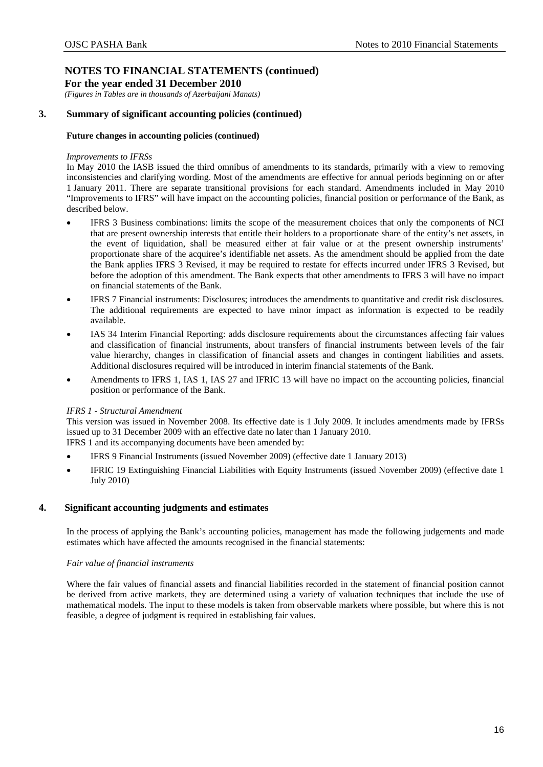**For the year ended 31 December 2010** 

*(Figures in Tables are in thousands of Azerbaijani Manats)* 

## **3. Summary of significant accounting policies (continued)**

### **Future changes in accounting policies (continued)**

### *Improvements to IFRSs*

In May 2010 the IASB issued the third omnibus of amendments to its standards, primarily with a view to removing inconsistencies and clarifying wording. Most of the amendments are effective for annual periods beginning on or after 1 January 2011. There are separate transitional provisions for each standard. Amendments included in May 2010 "Improvements to IFRS" will have impact on the accounting policies, financial position or performance of the Bank, as described below.

- IFRS 3 Business combinations: limits the scope of the measurement choices that only the components of NCI that are present ownership interests that entitle their holders to a proportionate share of the entity's net assets, in the event of liquidation, shall be measured either at fair value or at the present ownership instruments' proportionate share of the acquiree's identifiable net assets. As the amendment should be applied from the date the Bank applies IFRS 3 Revised, it may be required to restate for effects incurred under IFRS 3 Revised, but before the adoption of this amendment. The Bank expects that other amendments to IFRS 3 will have no impact on financial statements of the Bank.
- IFRS 7 Financial instruments: Disclosures; introduces the amendments to quantitative and credit risk disclosures. The additional requirements are expected to have minor impact as information is expected to be readily available.
- IAS 34 Interim Financial Reporting: adds disclosure requirements about the circumstances affecting fair values and classification of financial instruments, about transfers of financial instruments between levels of the fair value hierarchy, changes in classification of financial assets and changes in contingent liabilities and assets. Additional disclosures required will be introduced in interim financial statements of the Bank.
- Amendments to IFRS 1, IAS 1, IAS 27 and IFRIC 13 will have no impact on the accounting policies, financial position or performance of the Bank.

## *IFRS 1 - Structural Amendment*

This version was issued in November 2008. Its effective date is 1 July 2009. It includes amendments made by IFRSs issued up to 31 December 2009 with an effective date no later than 1 January 2010. IFRS 1 and its accompanying documents have been amended by:

- IFRS 9 Financial Instruments (issued November 2009) (effective date 1 January 2013)
- IFRIC 19 Extinguishing Financial Liabilities with Equity Instruments (issued November 2009) (effective date 1 July 2010)

## <span id="page-18-0"></span>**4. Significant accounting judgments and estimates**

In the process of applying the Bank's accounting policies, management has made the following judgements and made estimates which have affected the amounts recognised in the financial statements:

## *Fair value of financial instruments*

Where the fair values of financial assets and financial liabilities recorded in the statement of financial position cannot be derived from active markets, they are determined using a variety of valuation techniques that include the use of mathematical models. The input to these models is taken from observable markets where possible, but where this is not feasible, a degree of judgment is required in establishing fair values.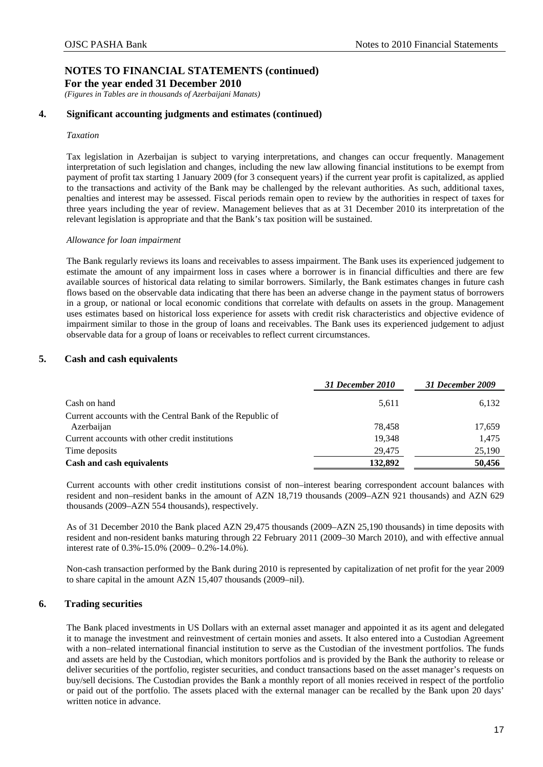**For the year ended 31 December 2010** 

*(Figures in Tables are in thousands of Azerbaijani Manats)* 

## **4. Significant accounting judgments and estimates (continued)**

### *Taxation*

Tax legislation in Azerbaijan is subject to varying interpretations, and changes can occur frequently. Management interpretation of such legislation and changes, including the new law allowing financial institutions to be exempt from payment of profit tax starting 1 January 2009 (for 3 consequent years) if the current year profit is capitalized, as applied to the transactions and activity of the Bank may be challenged by the relevant authorities. As such, additional taxes, penalties and interest may be assessed. Fiscal periods remain open to review by the authorities in respect of taxes for three years including the year of review. Management believes that as at 31 December 2010 its interpretation of the relevant legislation is appropriate and that the Bank's tax position will be sustained.

### *Allowance for loan impairment*

The Bank regularly reviews its loans and receivables to assess impairment. The Bank uses its experienced judgement to estimate the amount of any impairment loss in cases where a borrower is in financial difficulties and there are few available sources of historical data relating to similar borrowers. Similarly, the Bank estimates changes in future cash flows based on the observable data indicating that there has been an adverse change in the payment status of borrowers in a group, or national or local economic conditions that correlate with defaults on assets in the group. Management uses estimates based on historical loss experience for assets with credit risk characteristics and objective evidence of impairment similar to those in the group of loans and receivables. The Bank uses its experienced judgement to adjust observable data for a group of loans or receivables to reflect current circumstances.

## <span id="page-19-0"></span>**5. Cash and cash equivalents**

|                                                           | 31 December 2010 | 31 December 2009 |
|-----------------------------------------------------------|------------------|------------------|
| Cash on hand                                              | 5,611            | 6,132            |
| Current accounts with the Central Bank of the Republic of |                  |                  |
| Azerbaijan                                                | 78.458           | 17,659           |
| Current accounts with other credit institutions           | 19.348           | 1,475            |
| Time deposits                                             | 29,475           | 25,190           |
| Cash and cash equivalents                                 | 132,892          | 50,456           |

Current accounts with other credit institutions consist of non–interest bearing correspondent account balances with resident and non–resident banks in the amount of AZN 18,719 thousands (2009–AZN 921 thousands) and AZN 629 thousands (2009–AZN 554 thousands), respectively.

As of 31 December 2010 the Bank placed AZN 29,475 thousands (2009–AZN 25,190 thousands) in time deposits with resident and non-resident banks maturing through 22 February 2011 (2009–30 March 2010), and with effective annual interest rate of 0.3%-15.0% (2009– 0.2%-14.0%).

Non-cash transaction performed by the Bank during 2010 is represented by capitalization of net profit for the year 2009 to share capital in the amount AZN 15,407 thousands (2009–nil).

## <span id="page-19-1"></span>**6. Trading securities**

The Bank placed investments in US Dollars with an external asset manager and appointed it as its agent and delegated it to manage the investment and reinvestment of certain monies and assets. It also entered into a Custodian Agreement with a non–related international financial institution to serve as the Custodian of the investment portfolios. The funds and assets are held by the Custodian, which monitors portfolios and is provided by the Bank the authority to release or deliver securities of the portfolio, register securities, and conduct transactions based on the asset manager's requests on buy/sell decisions. The Custodian provides the Bank a monthly report of all monies received in respect of the portfolio or paid out of the portfolio. The assets placed with the external manager can be recalled by the Bank upon 20 days' written notice in advance.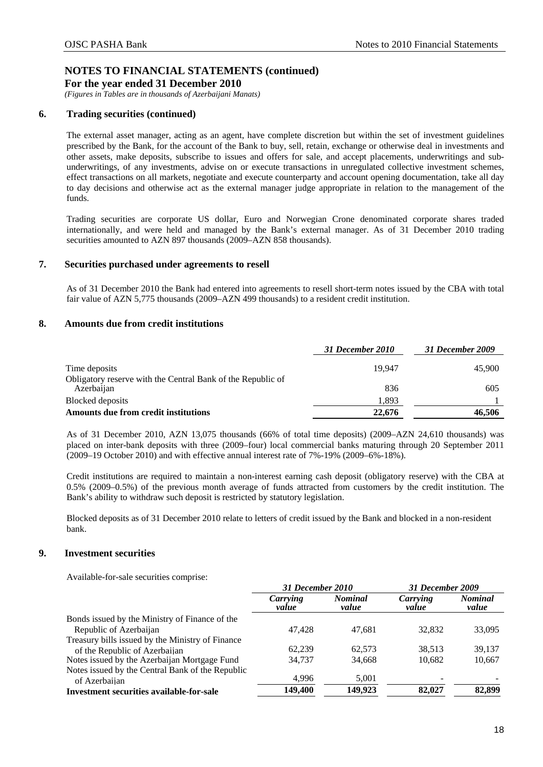**For the year ended 31 December 2010** 

*(Figures in Tables are in thousands of Azerbaijani Manats)* 

## **6. Trading securities (continued)**

The external asset manager, acting as an agent, have complete discretion but within the set of investment guidelines prescribed by the Bank, for the account of the Bank to buy, sell, retain, exchange or otherwise deal in investments and other assets, make deposits, subscribe to issues and offers for sale, and accept placements, underwritings and subunderwritings, of any investments, advise on or execute transactions in unregulated collective investment schemes, effect transactions on all markets, negotiate and execute counterparty and account opening documentation, take all day to day decisions and otherwise act as the external manager judge appropriate in relation to the management of the funds.

Trading securities are corporate US dollar, Euro and Norwegian Crone denominated corporate shares traded internationally, and were held and managed by the Bank's external manager. As of 31 December 2010 trading securities amounted to AZN 897 thousands (2009–AZN 858 thousands).

## <span id="page-20-0"></span>**7. Securities purchased under agreements to resell**

As of 31 December 2010 the Bank had entered into agreements to resell short-term notes issued by the CBA with total fair value of AZN 5,775 thousands (2009–AZN 499 thousands) to a resident credit institution.

## <span id="page-20-1"></span>**8. Amounts due from credit institutions**

|                                                                           | 31 December 2010 | 31 December 2009 |
|---------------------------------------------------------------------------|------------------|------------------|
| Time deposits                                                             | 19.947           | 45,900           |
| Obligatory reserve with the Central Bank of the Republic of<br>Azerbaijan | 836              | 605              |
| Blocked deposits                                                          | 1.893            |                  |
| Amounts due from credit institutions                                      | 22,676           | 46.506           |

As of 31 December 2010, AZN 13,075 thousands (66% of total time deposits) (2009–AZN 24,610 thousands) was placed on inter-bank deposits with three (2009–four) local commercial banks maturing through 20 September 2011  $(2009-19 \text{ October } 2010)$  and with effective annual interest rate of 7%-19% (2009–6%-18%).

Credit institutions are required to maintain a non-interest earning cash deposit (obligatory reserve) with the CBA at 0.5% (2009–0.5%) of the previous month average of funds attracted from customers by the credit institution. The Bank's ability to withdraw such deposit is restricted by statutory legislation.

Blocked deposits as of 31 December 2010 relate to letters of credit issued by the Bank and blocked in a non-resident bank.

## <span id="page-20-2"></span>**9. Investment securities**

Available-for-sale securities comprise:

|                                                                   | 31 December 2010  |                         | 31 December 2009  |                         |
|-------------------------------------------------------------------|-------------------|-------------------------|-------------------|-------------------------|
|                                                                   | Carrying<br>value | <b>Nominal</b><br>value | Carrying<br>value | <b>Nominal</b><br>value |
| Bonds issued by the Ministry of Finance of the                    |                   |                         |                   |                         |
| Republic of Azerbaijan                                            | 47.428            | 47.681                  | 32,832            | 33,095                  |
| Treasury bills issued by the Ministry of Finance                  |                   |                         |                   |                         |
| of the Republic of Azerbaijan                                     | 62.239            | 62.573                  | 38.513            | 39,137                  |
| Notes issued by the Azerbaijan Mortgage Fund                      | 34.737            | 34,668                  | 10,682            | 10,667                  |
| Notes issued by the Central Bank of the Republic<br>of Azerbaijan | 4,996             | 5,001                   |                   |                         |
| Investment securities available-for-sale                          | 149,400           | 149,923                 | 82,027            | 82,899                  |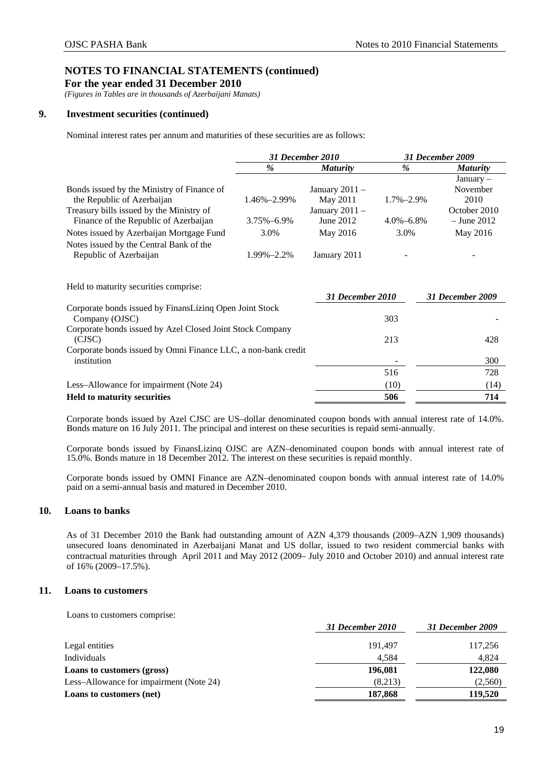**For the year ended 31 December 2010** 

*(Figures in Tables are in thousands of Azerbaijani Manats)* 

## **9. Investment securities (continued)**

Nominal interest rates per annum and maturities of these securities are as follows:

|                                                                                   | 31 December 2010 |                               | 31 December 2009 |                                 |
|-----------------------------------------------------------------------------------|------------------|-------------------------------|------------------|---------------------------------|
|                                                                                   | $\%$             | <i>Maturity</i>               | %                | <b>Maturity</b>                 |
| Bonds issued by the Ministry of Finance of<br>the Republic of Azerbaijan          | 1.46%-2.99%      | January $2011 -$<br>May 2011  | $1.7\% - 2.9\%$  | $January -$<br>November<br>2010 |
| Treasury bills issued by the Ministry of<br>Finance of the Republic of Azerbaijan | 3.75%-6.9%       | January $2011 -$<br>June 2012 | $4.0\% - 6.8\%$  | October 2010<br>$-$ June 2012   |
| Notes issued by Azerbaijan Mortgage Fund                                          | 3.0%             | May 2016                      | 3.0%             | May 2016                        |
| Notes issued by the Central Bank of the<br>Republic of Azerbaijan                 | 1.99%-2.2%       | January 2011                  |                  |                                 |
| Held to maturity securities comprise:                                             |                  | 31 December 2010              |                  | <b>31 December 2009</b>         |
| Corporate bonds issued by FinansLizing Open Joint Stock<br>Company (OJSC)         |                  |                               | 303              |                                 |
| Corporate bonds issued by Azel Closed Joint Stock Company<br>(CJSC)               |                  |                               | 213              | 428                             |
| Corporate bonds issued by Omni Finance LLC, a non-bank credit<br>institution      |                  |                               |                  | 300                             |
|                                                                                   |                  |                               | 516              | 728                             |
| Less-Allowance for impairment (Note 24)                                           |                  |                               | (10)             | (14)                            |
| <b>Held to maturity securities</b>                                                |                  |                               | 506              | 714                             |

Corporate bonds issued by Azel CJSC are US–dollar denominated coupon bonds with annual interest rate of 14.0%. Bonds mature on 16 July 2011. The principal and interest on these securities is repaid semi-annually.

Corporate bonds issued by FinansLizinq OJSC are AZN–denominated coupon bonds with annual interest rate of 15.0%. Bonds mature in 18 December 2012. The interest on these securities is repaid monthly.

Corporate bonds issued by OMNI Finance are AZN–denominated coupon bonds with annual interest rate of 14.0% paid on a semi-annual basis and matured in December 2010.

## <span id="page-21-0"></span>**10. Loans to banks**

As of 31 December 2010 the Bank had outstanding amount of AZN 4,379 thousands (2009–AZN 1,909 thousands) unsecured loans denominated in Azerbaijani Manat and US dollar, issued to two resident commercial banks with contractual maturities through April 2011 and May 2012 (2009– July 2010 and October 2010) and annual interest rate of 16% (2009–17.5%).

## <span id="page-21-1"></span>**11. Loans to customers**

Loans to customers comprise:

| 31 December 2010 | 31 December 2009 |
|------------------|------------------|
| 191.497          | 117,256          |
| 4.584            | 4.824            |
| 196,081          | 122,080          |
| (8,213)          | (2,560)          |
| 187,868          | 119.520          |
|                  |                  |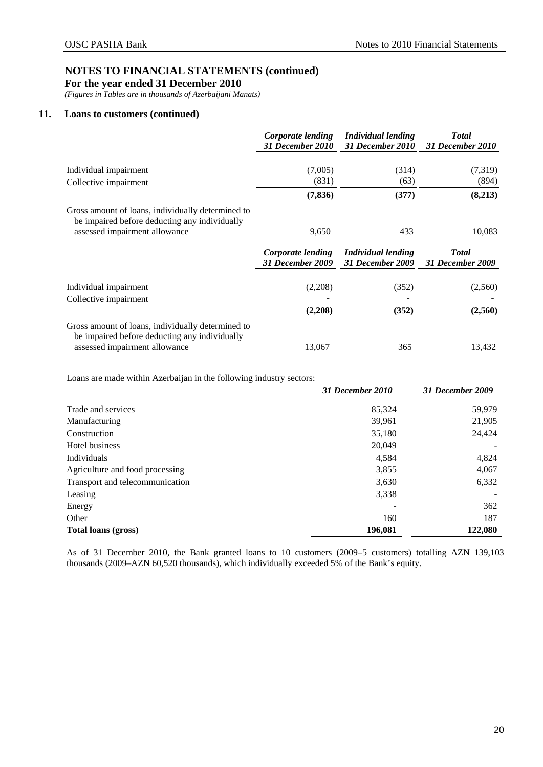**For the year ended 31 December 2010** 

*(Figures in Tables are in thousands of Azerbaijani Manats)* 

## **11. Loans to customers (continued)**

|                                                                                                                                     | Corporate lending<br><b>31 December 2010</b> | <b>Individual lending</b><br>31 December 2010 | <b>Total</b><br>31 December 2010         |
|-------------------------------------------------------------------------------------------------------------------------------------|----------------------------------------------|-----------------------------------------------|------------------------------------------|
| Individual impairment                                                                                                               | (7,005)                                      | (314)                                         | (7,319)                                  |
| Collective impairment                                                                                                               | (831)                                        | (63)                                          | (894)                                    |
|                                                                                                                                     | (7, 836)                                     | (377)                                         | (8,213)                                  |
| Gross amount of loans, individually determined to<br>be impaired before deducting any individually<br>assessed impairment allowance | 9,650                                        | 433                                           | 10,083                                   |
|                                                                                                                                     | Corporate lending<br><b>31 December 2009</b> | Individual lending<br>31 December 2009        | <b>T</b> otal<br><b>31 December 2009</b> |
| Individual impairment                                                                                                               | (2,208)                                      | (352)                                         | (2,560)                                  |
| Collective impairment                                                                                                               | (2,208)                                      | (352)                                         | (2,560)                                  |
| Gross amount of loans, individually determined to<br>be impaired before deducting any individually<br>assessed impairment allowance | 13,067                                       | 365                                           | 13,432                                   |

Loans are made within Azerbaijan in the following industry sectors:

|                                 | <b>31 December 2010</b> | 31 December 2009 |
|---------------------------------|-------------------------|------------------|
| Trade and services              | 85,324                  | 59,979           |
| Manufacturing                   | 39,961                  | 21,905           |
| Construction                    | 35,180                  | 24,424           |
| Hotel business                  | 20,049                  |                  |
| Individuals                     | 4,584                   | 4,824            |
| Agriculture and food processing | 3,855                   | 4,067            |
| Transport and telecommunication | 3,630                   | 6,332            |
| Leasing                         | 3,338                   |                  |
| Energy                          |                         | 362              |
| Other                           | 160                     | 187              |
| Total loans (gross)             | 196,081                 | 122,080          |
|                                 |                         |                  |

As of 31 December 2010, the Bank granted loans to 10 customers (2009–5 customers) totalling AZN 139,103 thousands (2009–AZN 60,520 thousands), which individually exceeded 5% of the Bank's equity.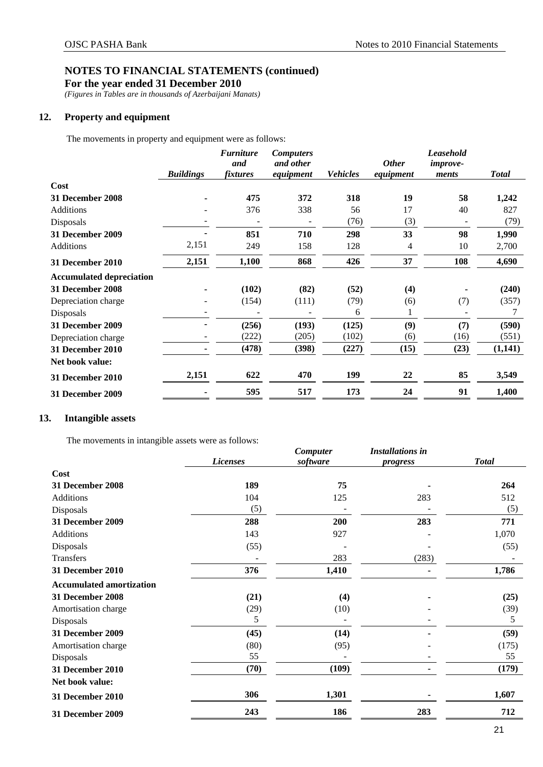**For the year ended 31 December 2010** 

*(Figures in Tables are in thousands of Azerbaijani Manats)* 

## <span id="page-23-0"></span>**12. Property and equipment**

The movements in property and equipment were as follows:

|                                 | <b>Buildings</b> | <b>Furniture</b><br>and<br><i>fixtures</i> | <b>Computers</b><br>and other<br>equipment | <b>Vehicles</b> | <b>Other</b><br>equipment | Leasehold<br><i>improve-</i><br>ments | <b>Total</b> |
|---------------------------------|------------------|--------------------------------------------|--------------------------------------------|-----------------|---------------------------|---------------------------------------|--------------|
| Cost                            |                  |                                            |                                            |                 |                           |                                       |              |
| <b>31 December 2008</b>         |                  | 475                                        | 372                                        | 318             | 19                        | 58                                    | 1,242        |
| Additions                       |                  | 376                                        | 338                                        | 56              | 17                        | 40                                    | 827          |
| Disposals                       |                  |                                            |                                            | (76)            | (3)                       | $\overline{\phantom{a}}$              | (79)         |
| 31 December 2009                |                  | 851                                        | 710                                        | 298             | 33                        | 98                                    | 1,990        |
| Additions                       | 2,151            | 249                                        | 158                                        | 128             | 4                         | 10                                    | 2,700        |
| 31 December 2010                | 2,151            | 1,100                                      | 868                                        | 426             | 37                        | 108                                   | 4,690        |
| <b>Accumulated depreciation</b> |                  |                                            |                                            |                 |                           |                                       |              |
| 31 December 2008                |                  | (102)                                      | (82)                                       | (52)            | (4)                       |                                       | (240)        |
| Depreciation charge             |                  | (154)                                      | (111)                                      | (79)            | (6)                       | (7)                                   | (357)        |
| Disposals                       |                  |                                            |                                            | 6               |                           |                                       | 7            |
| <b>31 December 2009</b>         |                  | (256)                                      | (193)                                      | (125)           | (9)                       | (7)                                   | (590)        |
| Depreciation charge             |                  | (222)                                      | (205)                                      | (102)           | (6)                       | (16)                                  | (551)        |
| 31 December 2010                |                  | (478)                                      | (398)                                      | (227)           | (15)                      | (23)                                  | (1,141)      |
| Net book value:                 |                  |                                            |                                            |                 |                           |                                       |              |
| 31 December 2010                | 2,151            | 622                                        | 470                                        | 199             | 22                        | 85                                    | 3,549        |
| 31 December 2009                |                  | 595                                        | 517                                        | 173             | 24                        | 91                                    | 1,400        |

## <span id="page-23-1"></span>**13. Intangible assets**

The movements in intangible assets were as follows:

|                                 |                 | Computer | <b>Installations in</b> |              |
|---------------------------------|-----------------|----------|-------------------------|--------------|
|                                 | <b>Licenses</b> | software | progress                | <b>Total</b> |
| Cost                            |                 |          |                         |              |
| <b>31 December 2008</b>         | 189             | 75       |                         | 264          |
| <b>Additions</b>                | 104             | 125      | 283                     | 512          |
| Disposals                       | (5)             |          |                         | (5)          |
| 31 December 2009                | 288             | 200      | 283                     | 771          |
| <b>Additions</b>                | 143             | 927      |                         | 1,070        |
| Disposals                       | (55)            |          |                         | (55)         |
| Transfers                       |                 | 283      | (283)                   |              |
| 31 December 2010                | 376             | 1,410    |                         | 1,786        |
| <b>Accumulated amortization</b> |                 |          |                         |              |
| 31 December 2008                | (21)            | (4)      |                         | (25)         |
| Amortisation charge             | (29)            | (10)     |                         | (39)         |
| Disposals                       | 5               |          |                         | 5            |
| 31 December 2009                | (45)            | (14)     |                         | (59)         |
| Amortisation charge             | (80)            | (95)     |                         | (175)        |
| Disposals                       | 55              |          |                         | 55           |
| <b>31 December 2010</b>         | (70)            | (109)    |                         | (179)        |
| Net book value:                 |                 |          |                         |              |
| 31 December 2010                | 306             | 1,301    |                         | 1,607        |
| <b>31 December 2009</b>         | 243             | 186      | 283                     | 712          |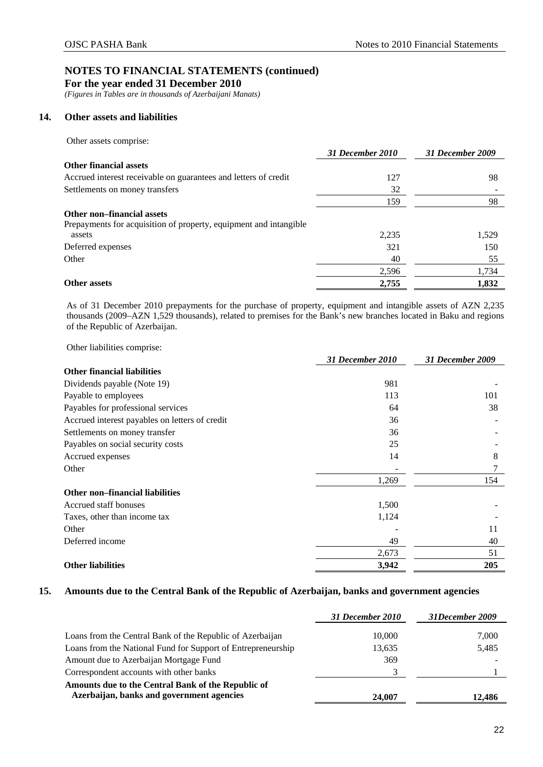**For the year ended 31 December 2010** 

*(Figures in Tables are in thousands of Azerbaijani Manats)* 

## <span id="page-24-0"></span>**14. Other assets and liabilities**

Other assets comprise:

|                                                                   | 31 December 2010 | 31 December 2009 |
|-------------------------------------------------------------------|------------------|------------------|
| <b>Other financial assets</b>                                     |                  |                  |
| Accrued interest receivable on guarantees and letters of credit   | 127              | 98               |
| Settlements on money transfers                                    | 32               |                  |
|                                                                   | 159              | 98               |
| Other non-financial assets                                        |                  |                  |
| Prepayments for acquisition of property, equipment and intangible |                  |                  |
| assets                                                            | 2,235            | 1,529            |
| Deferred expenses                                                 | 321              | 150              |
| Other                                                             | 40               | 55               |
|                                                                   | 2,596            | 1,734            |
| <b>Other assets</b>                                               | 2,755            | 1,832            |

As of 31 December 2010 prepayments for the purchase of property, equipment and intangible assets of AZN 2,235 thousands (2009–AZN 1,529 thousands), related to premises for the Bank's new branches located in Baku and regions of the Republic of Azerbaijan.

Other liabilities comprise:

|                                                | 31 December 2010 | 31 December 2009 |
|------------------------------------------------|------------------|------------------|
| <b>Other financial liabilities</b>             |                  |                  |
| Dividends payable (Note 19)                    | 981              |                  |
| Payable to employees                           | 113              | 101              |
| Payables for professional services             | 64               | 38               |
| Accrued interest payables on letters of credit | 36               |                  |
| Settlements on money transfer                  | 36               |                  |
| Payables on social security costs              | 25               |                  |
| Accrued expenses                               | 14               | 8                |
| Other                                          |                  | 7                |
|                                                | 1,269            | 154              |
| <b>Other non–financial liabilities</b>         |                  |                  |
| Accrued staff bonuses                          | 1,500            |                  |
| Taxes, other than income tax                   | 1,124            |                  |
| Other                                          |                  | 11               |
| Deferred income                                | 49               | 40               |
|                                                | 2,673            | 51               |
| <b>Other liabilities</b>                       | 3,942            | 205              |

## <span id="page-24-1"></span>**15. Amounts due to the Central Bank of the Republic of Azerbaijan, banks and government agencies**

|                                                                                                 | 31 December 2010 | 31December 2009 |
|-------------------------------------------------------------------------------------------------|------------------|-----------------|
| Loans from the Central Bank of the Republic of Azerbaijan                                       | 10,000           | 7,000           |
| Loans from the National Fund for Support of Entrepreneurship                                    | 13.635           | 5,485           |
| Amount due to Azerbaijan Mortgage Fund                                                          | 369              |                 |
| Correspondent accounts with other banks                                                         |                  |                 |
| Amounts due to the Central Bank of the Republic of<br>Azerbaijan, banks and government agencies | 24,007           | 12.486          |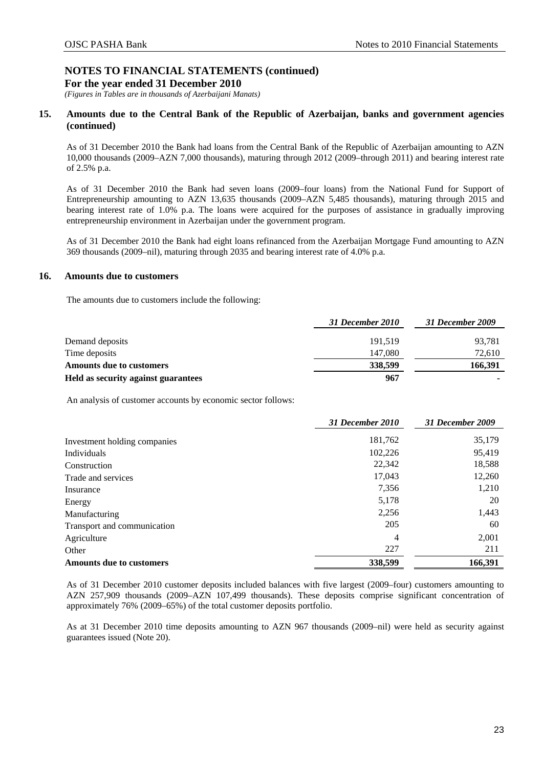*(Figures in Tables are in thousands of Azerbaijani Manats)* 

## **15. Amounts due to the Central Bank of the Republic of Azerbaijan, banks and government agencies (continued)**

As of 31 December 2010 the Bank had loans from the Central Bank of the Republic of Azerbaijan amounting to AZN 10,000 thousands (2009–AZN 7,000 thousands), maturing through 2012 (2009–through 2011) and bearing interest rate of 2.5% p.a.

As of 31 December 2010 the Bank had seven loans (2009–four loans) from the National Fund for Support of Entrepreneurship amounting to AZN 13,635 thousands (2009–AZN 5,485 thousands), maturing through 2015 and bearing interest rate of 1.0% p.a. The loans were acquired for the purposes of assistance in gradually improving entrepreneurship environment in Azerbaijan under the government program.

As of 31 December 2010 the Bank had eight loans refinanced from the Azerbaijan Mortgage Fund amounting to AZN 369 thousands (2009–nil), maturing through 2035 and bearing interest rate of 4.0% p.a.

## <span id="page-25-0"></span>**16. Amounts due to customers**

The amounts due to customers include the following:

|                                     | 31 December 2010 | 31 December 2009 |
|-------------------------------------|------------------|------------------|
| Demand deposits                     | 191.519          | 93,781           |
| Time deposits                       | 147,080          | 72,610           |
| <b>Amounts due to customers</b>     | 338,599          | 166,391          |
| Held as security against guarantees | 967              |                  |

An analysis of customer accounts by economic sector follows:

|                                 | 31 December 2010 | 31 December 2009 |
|---------------------------------|------------------|------------------|
| Investment holding companies    | 181,762          | 35,179           |
| Individuals                     | 102,226          | 95,419           |
| Construction                    | 22,342           | 18,588           |
| Trade and services              | 17,043           | 12,260           |
| Insurance                       | 7,356            | 1,210            |
| Energy                          | 5,178            | 20               |
| Manufacturing                   | 2,256            | 1,443            |
| Transport and communication     | 205              | 60               |
| Agriculture                     | 4                | 2,001            |
| Other                           | 227              | 211              |
| <b>Amounts due to customers</b> | 338,599          | 166,391          |

As of 31 December 2010 customer deposits included balances with five largest (2009–four) customers amounting to AZN 257,909 thousands (2009–AZN 107,499 thousands). These deposits comprise significant concentration of approximately 76% (2009–65%) of the total customer deposits portfolio.

As at 31 December 2010 time deposits amounting to AZN 967 thousands (2009*–*nil) were held as security against guarantees issued (Note 20).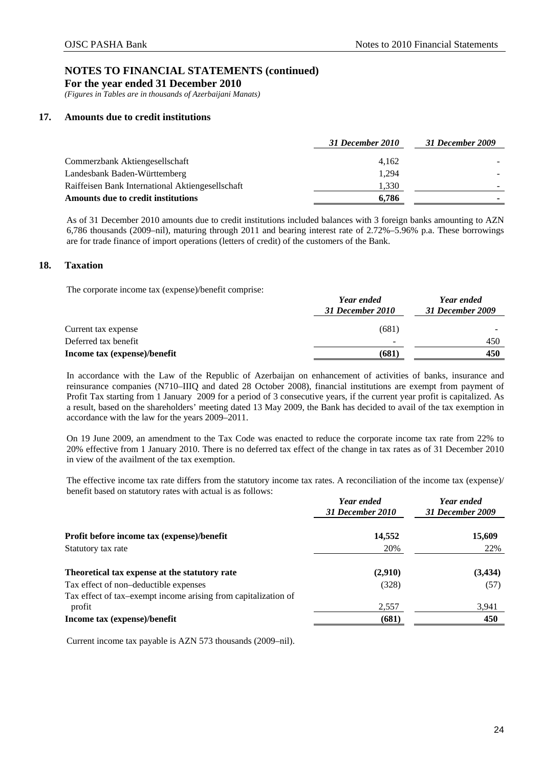**For the year ended 31 December 2010** 

*(Figures in Tables are in thousands of Azerbaijani Manats)* 

## <span id="page-26-0"></span>**17. Amounts due to credit institutions**

|                                                  | 31 December 2010 | 31 December 2009 |
|--------------------------------------------------|------------------|------------------|
| Commerzbank Aktiengesellschaft                   | 4.162            |                  |
| Landesbank Baden-Württemberg                     | 1.294            |                  |
| Raiffeisen Bank International Aktiengesellschaft | 1,330            |                  |
| Amounts due to credit institutions               | 6.786            |                  |

As of 31 December 2010 amounts due to credit institutions included balances with 3 foreign banks amounting to AZN 6,786 thousands (2009–nil), maturing through 2011 and bearing interest rate of 2.72%–5.96% p.a. These borrowings are for trade finance of import operations (letters of credit) of the customers of the Bank.

## <span id="page-26-1"></span>**18. Taxation**

The corporate income tax (expense)/benefit comprise:

|                              | Year ended<br>31 December 2010 | Year ended<br>31 December 2009 |  |
|------------------------------|--------------------------------|--------------------------------|--|
| Current tax expense          | (681)                          |                                |  |
| Deferred tax benefit         | $\sim$                         | 450                            |  |
| Income tax (expense)/benefit | (681)                          | 450                            |  |

In accordance with the Law of the Republic of Azerbaijan on enhancement of activities of banks, insurance and reinsurance companies (N710–IIIQ and dated 28 October 2008), financial institutions are exempt from payment of Profit Tax starting from 1 January 2009 for a period of 3 consecutive years, if the current year profit is capitalized. As a result, based on the shareholders' meeting dated 13 May 2009, the Bank has decided to avail of the tax exemption in accordance with the law for the years 2009–2011.

On 19 June 2009, an amendment to the Tax Code was enacted to reduce the corporate income tax rate from 22% to 20% effective from 1 January 2010. There is no deferred tax effect of the change in tax rates as of 31 December 2010 in view of the availment of the tax exemption.

The effective income tax rate differs from the statutory income tax rates. A reconciliation of the income tax (expense)/ benefit based on statutory rates with actual is as follows:

|                                                                | Year ended<br>31 December 2010 | Year ended<br>31 December 2009 |  |
|----------------------------------------------------------------|--------------------------------|--------------------------------|--|
| Profit before income tax (expense)/benefit                     | 14,552                         | 15,609                         |  |
| Statutory tax rate                                             | 20%                            | 22%                            |  |
| Theoretical tax expense at the statutory rate                  | (2,910)                        | (3, 434)                       |  |
| Tax effect of non-deductible expenses                          | (328)                          | (57)                           |  |
| Tax effect of tax-exempt income arising from capitalization of |                                |                                |  |
| profit                                                         | 2,557                          | 3,941                          |  |
| Income tax (expense)/benefit                                   | (681)                          | 450                            |  |

Current income tax payable is AZN 573 thousands (2009–nil).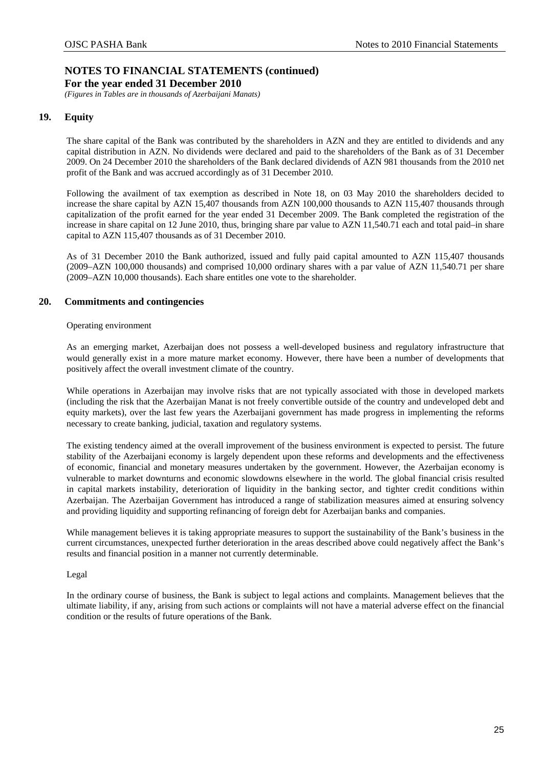*(Figures in Tables are in thousands of Azerbaijani Manats)* 

## <span id="page-27-0"></span>**19. Equity**

The share capital of the Bank was contributed by the shareholders in AZN and they are entitled to dividends and any capital distribution in AZN. No dividends were declared and paid to the shareholders of the Bank as of 31 December 2009. On 24 December 2010 the shareholders of the Bank declared dividends of AZN 981 thousands from the 2010 net profit of the Bank and was accrued accordingly as of 31 December 2010.

Following the availment of tax exemption as described in Note 18, on 03 May 2010 the shareholders decided to increase the share capital by AZN 15,407 thousands from AZN 100,000 thousands to AZN 115,407 thousands through capitalization of the profit earned for the year ended 31 December 2009. The Bank completed the registration of the increase in share capital on 12 June 2010, thus, bringing share par value to AZN 11,540.71 each and total paid–in share capital to AZN 115,407 thousands as of 31 December 2010.

As of 31 December 2010 the Bank authorized, issued and fully paid capital amounted to AZN 115,407 thousands (2009–AZN 100,000 thousands) and comprised 10,000 ordinary shares with a par value of AZN 11,540.71 per share (2009–AZN 10,000 thousands). Each share entitles one vote to the shareholder.

## <span id="page-27-1"></span>**20. Commitments and contingencies**

### Operating environment

As an emerging market, Azerbaijan does not possess a well-developed business and regulatory infrastructure that would generally exist in a more mature market economy. However, there have been a number of developments that positively affect the overall investment climate of the country.

While operations in Azerbaijan may involve risks that are not typically associated with those in developed markets (including the risk that the Azerbaijan Manat is not freely convertible outside of the country and undeveloped debt and equity markets), over the last few years the Azerbaijani government has made progress in implementing the reforms necessary to create banking, judicial, taxation and regulatory systems.

The existing tendency aimed at the overall improvement of the business environment is expected to persist. The future stability of the Azerbaijani economy is largely dependent upon these reforms and developments and the effectiveness of economic, financial and monetary measures undertaken by the government. However, the Azerbaijan economy is vulnerable to market downturns and economic slowdowns elsewhere in the world. The global financial crisis resulted in capital markets instability, deterioration of liquidity in the banking sector, and tighter credit conditions within Azerbaijan. The Azerbaijan Government has introduced a range of stabilization measures aimed at ensuring solvency and providing liquidity and supporting refinancing of foreign debt for Azerbaijan banks and companies.

While management believes it is taking appropriate measures to support the sustainability of the Bank's business in the current circumstances, unexpected further deterioration in the areas described above could negatively affect the Bank's results and financial position in a manner not currently determinable.

## Legal

In the ordinary course of business, the Bank is subject to legal actions and complaints. Management believes that the ultimate liability, if any, arising from such actions or complaints will not have a material adverse effect on the financial condition or the results of future operations of the Bank.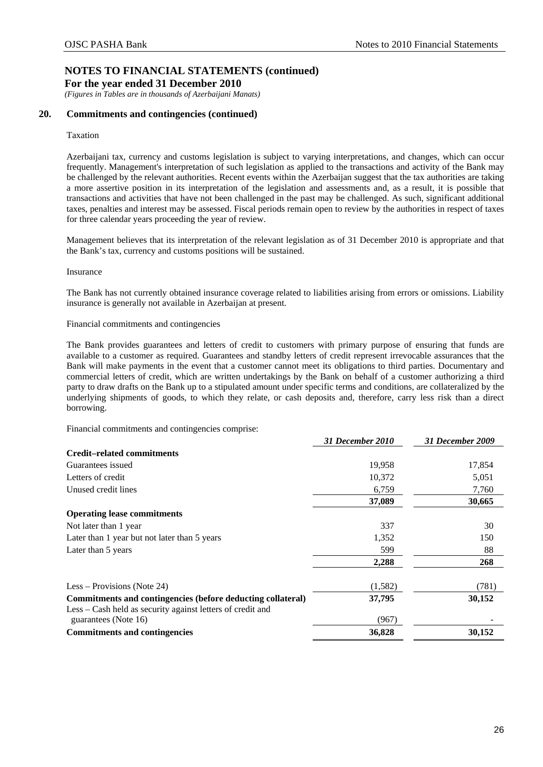**For the year ended 31 December 2010** 

*(Figures in Tables are in thousands of Azerbaijani Manats)* 

## **20. Commitments and contingencies (continued)**

### Taxation

Azerbaijani tax, currency and customs legislation is subject to varying interpretations, and changes, which can occur frequently. Management's interpretation of such legislation as applied to the transactions and activity of the Bank may be challenged by the relevant authorities. Recent events within the Azerbaijan suggest that the tax authorities are taking a more assertive position in its interpretation of the legislation and assessments and, as a result, it is possible that transactions and activities that have not been challenged in the past may be challenged. As such, significant additional taxes, penalties and interest may be assessed. Fiscal periods remain open to review by the authorities in respect of taxes for three calendar years proceeding the year of review.

Management believes that its interpretation of the relevant legislation as of 31 December 2010 is appropriate and that the Bank's tax, currency and customs positions will be sustained.

### Insurance

The Bank has not currently obtained insurance coverage related to liabilities arising from errors or omissions. Liability insurance is generally not available in Azerbaijan at present.

Financial commitments and contingencies

The Bank provides guarantees and letters of credit to customers with primary purpose of ensuring that funds are available to a customer as required. Guarantees and standby letters of credit represent irrevocable assurances that the Bank will make payments in the event that a customer cannot meet its obligations to third parties. Documentary and commercial letters of credit, which are written undertakings by the Bank on behalf of a customer authorizing a third party to draw drafts on the Bank up to a stipulated amount under specific terms and conditions, are collateralized by the underlying shipments of goods, to which they relate, or cash deposits and, therefore, carry less risk than a direct borrowing.

Financial commitments and contingencies comprise:

|                                                                                    | 31 December 2010 | 31 December 2009 |
|------------------------------------------------------------------------------------|------------------|------------------|
| <b>Credit-related commitments</b>                                                  |                  |                  |
| Guarantees issued                                                                  | 19,958           | 17,854           |
| Letters of credit                                                                  | 10,372           | 5,051            |
| Unused credit lines                                                                | 6,759            | 7,760            |
|                                                                                    | 37,089           | 30,665           |
| <b>Operating lease commitments</b>                                                 |                  |                  |
| Not later than 1 year                                                              | 337              | 30               |
| Later than 1 year but not later than 5 years                                       | 1,352            | 150              |
| Later than 5 years                                                                 | 599              | 88               |
|                                                                                    | 2,288            | 268              |
| Less – Provisions (Note 24)                                                        | (1,582)          | (781)            |
| Commitments and contingencies (before deducting collateral)                        | 37,795           | 30,152           |
| Less – Cash held as security against letters of credit and<br>guarantees (Note 16) | (967)            |                  |
| <b>Commitments and contingencies</b>                                               | 36,828           | 30,152           |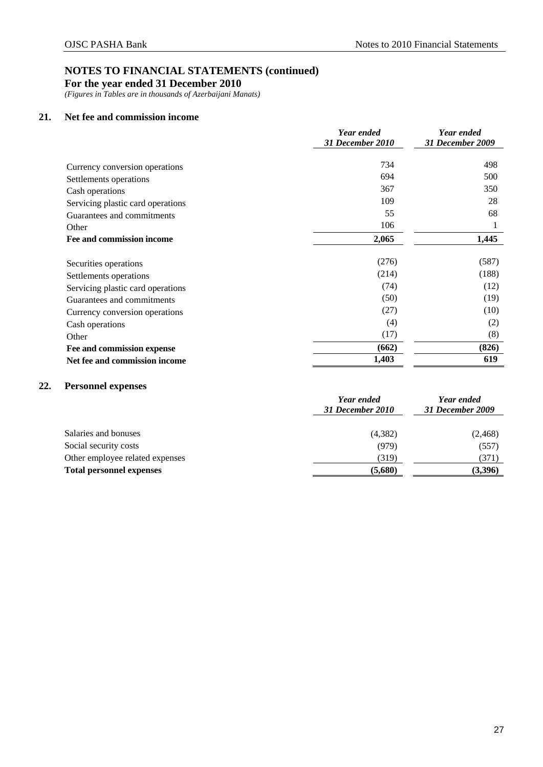**For the year ended 31 December 2010** 

*(Figures in Tables are in thousands of Azerbaijani Manats)* 

## <span id="page-29-0"></span>**21. Net fee and commission income**

|                                   | Year ended       | Year ended       |  |
|-----------------------------------|------------------|------------------|--|
|                                   | 31 December 2010 | 31 December 2009 |  |
| Currency conversion operations    | 734              | 498              |  |
| Settlements operations            | 694              | 500              |  |
| Cash operations                   | 367              | 350              |  |
| Servicing plastic card operations | 109              | 28               |  |
| Guarantees and commitments        | 55               | 68               |  |
| Other                             | 106              | 1                |  |
| Fee and commission income         | 2,065            | 1,445            |  |
| Securities operations             | (276)            | (587)            |  |
| Settlements operations            | (214)            | (188)            |  |
| Servicing plastic card operations | (74)             | (12)             |  |
| Guarantees and commitments        | (50)             | (19)             |  |
| Currency conversion operations    | (27)             | (10)             |  |
| Cash operations                   | (4)              | (2)              |  |
| Other                             | (17)             | (8)              |  |
| Fee and commission expense        | (662)            | (826)            |  |
| Net fee and commission income     | 1,403            | 619              |  |

## <span id="page-29-1"></span>**22. Personnel expenses**

|                                 | Year ended<br>31 December 2010 | Year ended<br>31 December 2009 |  |
|---------------------------------|--------------------------------|--------------------------------|--|
| Salaries and bonuses            | (4,382)                        | (2, 468)                       |  |
| Social security costs           | (979)                          | (557)                          |  |
| Other employee related expenses | (319)                          | (371)                          |  |
| <b>Total personnel expenses</b> | (5,680)                        | (3,396)                        |  |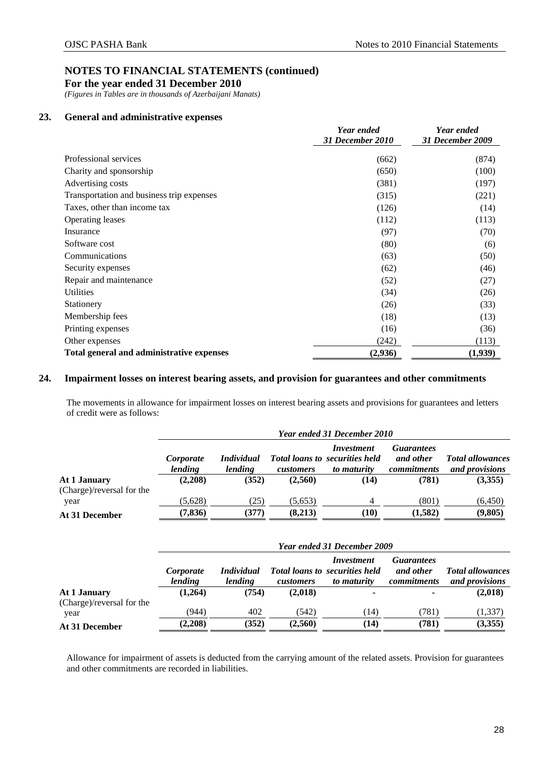**For the year ended 31 December 2010** 

*(Figures in Tables are in thousands of Azerbaijani Manats)* 

## <span id="page-30-0"></span>**23. General and administrative expenses**

|                                           | Year ended<br>31 December 2010 | Year ended<br>31 December 2009 |
|-------------------------------------------|--------------------------------|--------------------------------|
|                                           |                                |                                |
| Professional services                     | (662)                          | (874)                          |
| Charity and sponsorship                   | (650)                          | (100)                          |
| Advertising costs                         | (381)                          | (197)                          |
| Transportation and business trip expenses | (315)                          | (221)                          |
| Taxes, other than income tax              | (126)                          | (14)                           |
| Operating leases                          | (112)                          | (113)                          |
| Insurance                                 | (97)                           | (70)                           |
| Software cost                             | (80)                           | (6)                            |
| Communications                            | (63)                           | (50)                           |
| Security expenses                         | (62)                           | (46)                           |
| Repair and maintenance                    | (52)                           | (27)                           |
| <b>Utilities</b>                          | (34)                           | (26)                           |
| Stationery                                | (26)                           | (33)                           |
| Membership fees                           | (18)                           | (13)                           |
| Printing expenses                         | (16)                           | (36)                           |
| Other expenses                            | (242)                          | (113)                          |
| Total general and administrative expenses | (2,936)                        | (1,939)                        |

## <span id="page-30-1"></span>**24. Impairment losses on interest bearing assets, and provision for guarantees and other commitments**

The movements in allowance for impairment losses on interest bearing assets and provisions for guarantees and letters of credit were as follows:

|                           | Year ended 31 December 2010 |                              |           |                                                                    |                                               |                                           |  |
|---------------------------|-----------------------------|------------------------------|-----------|--------------------------------------------------------------------|-----------------------------------------------|-------------------------------------------|--|
|                           | Corporate<br>lending        | <i>Individual</i><br>lending | customers | Investment<br><b>Total loans to securities held</b><br>to maturity | <i>Guarantees</i><br>and other<br>commitments | <b>Total allowances</b><br>and provisions |  |
| At 1 January              | (2,208)                     | (352)                        | (2,560)   | (14)                                                               | (781)                                         | (3,355)                                   |  |
| (Charge)/reversal for the |                             |                              |           |                                                                    |                                               |                                           |  |
| year                      | (5,628)                     | (25)                         | (5,653)   | 4                                                                  | (801)                                         | (6,450)                                   |  |
| At 31 December            | (7, 836)                    | (377)                        | (8,213)   | (10)                                                               | (1,582)                                       | (9,805)                                   |  |

|                           |                      | Year ended 31 December 2009  |           |                                                                    |                                                      |                                           |  |  |  |
|---------------------------|----------------------|------------------------------|-----------|--------------------------------------------------------------------|------------------------------------------------------|-------------------------------------------|--|--|--|
|                           | Corporate<br>lending | <i>Individual</i><br>lending | customers | Investment<br><b>Total loans to securities held</b><br>to maturity | <b>Guarantees</b><br>and other<br><i>commitments</i> | <b>Total allowances</b><br>and provisions |  |  |  |
| At 1 January              | (1,264)              | (754)                        | (2,018)   | -                                                                  |                                                      | (2,018)                                   |  |  |  |
| (Charge)/reversal for the |                      |                              |           |                                                                    |                                                      |                                           |  |  |  |
| year                      | (944)                | 402                          | (542)     | (14)                                                               | (781)                                                | (1, 337)                                  |  |  |  |
| At 31 December            | (2,208)              | (352)                        | (2,560)   | (14)                                                               | (781)                                                | (3,355)                                   |  |  |  |

Allowance for impairment of assets is deducted from the carrying amount of the related assets. Provision for guarantees and other commitments are recorded in liabilities.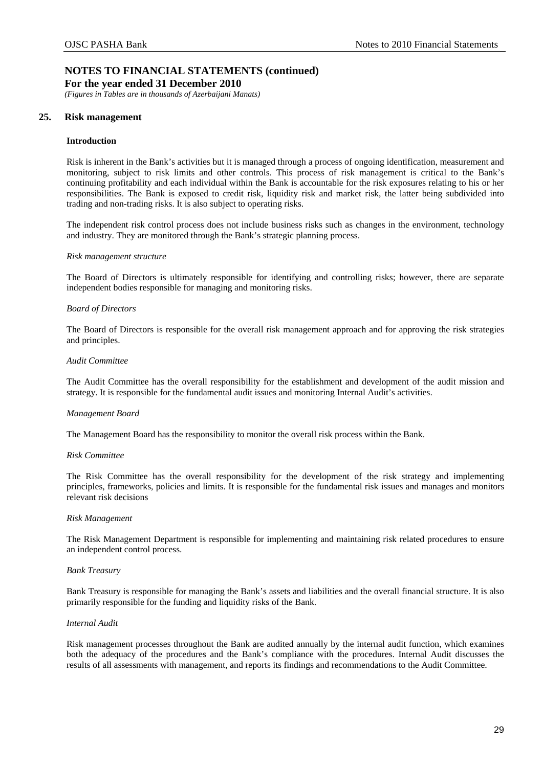**For the year ended 31 December 2010** 

*(Figures in Tables are in thousands of Azerbaijani Manats)* 

## <span id="page-31-0"></span>**25. Risk management**

### **Introduction**

Risk is inherent in the Bank's activities but it is managed through a process of ongoing identification, measurement and monitoring, subject to risk limits and other controls. This process of risk management is critical to the Bank's continuing profitability and each individual within the Bank is accountable for the risk exposures relating to his or her responsibilities. The Bank is exposed to credit risk, liquidity risk and market risk, the latter being subdivided into trading and non-trading risks. It is also subject to operating risks.

The independent risk control process does not include business risks such as changes in the environment, technology and industry. They are monitored through the Bank's strategic planning process.

#### *Risk management structure*

The Board of Directors is ultimately responsible for identifying and controlling risks; however, there are separate independent bodies responsible for managing and monitoring risks.

### *Board of Directors*

The Board of Directors is responsible for the overall risk management approach and for approving the risk strategies and principles.

#### *Audit Committee*

The Audit Committee has the overall responsibility for the establishment and development of the audit mission and strategy. It is responsible for the fundamental audit issues and monitoring Internal Audit's activities.

### *Management Board*

The Management Board has the responsibility to monitor the overall risk process within the Bank.

### *Risk Committee*

The Risk Committee has the overall responsibility for the development of the risk strategy and implementing principles, frameworks, policies and limits. It is responsible for the fundamental risk issues and manages and monitors relevant risk decisions

### *Risk Management*

The Risk Management Department is responsible for implementing and maintaining risk related procedures to ensure an independent control process.

### *Bank Treasury*

Bank Treasury is responsible for managing the Bank's assets and liabilities and the overall financial structure. It is also primarily responsible for the funding and liquidity risks of the Bank.

### *Internal Audit*

Risk management processes throughout the Bank are audited annually by the internal audit function, which examines both the adequacy of the procedures and the Bank's compliance with the procedures. Internal Audit discusses the results of all assessments with management, and reports its findings and recommendations to the Audit Committee.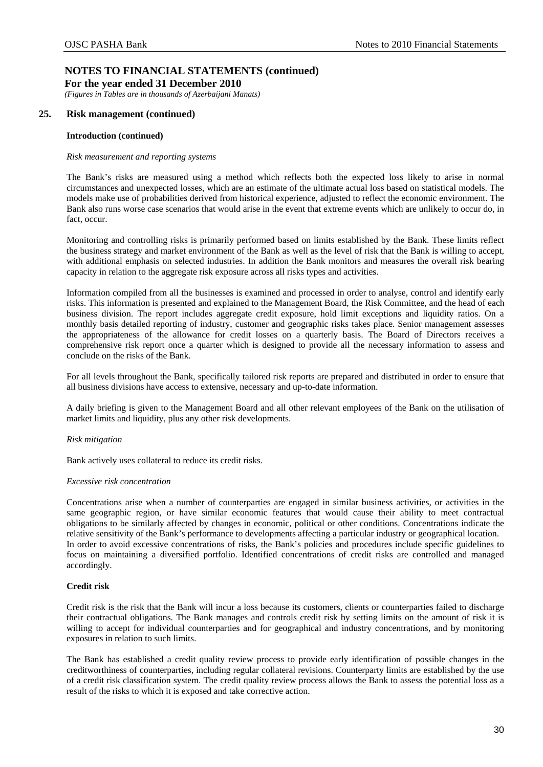*(Figures in Tables are in thousands of Azerbaijani Manats)* 

## **25. Risk management (continued)**

### **Introduction (continued)**

### *Risk measurement and reporting systems*

The Bank's risks are measured using a method which reflects both the expected loss likely to arise in normal circumstances and unexpected losses, which are an estimate of the ultimate actual loss based on statistical models. The models make use of probabilities derived from historical experience, adjusted to reflect the economic environment. The Bank also runs worse case scenarios that would arise in the event that extreme events which are unlikely to occur do, in fact, occur.

Monitoring and controlling risks is primarily performed based on limits established by the Bank. These limits reflect the business strategy and market environment of the Bank as well as the level of risk that the Bank is willing to accept, with additional emphasis on selected industries. In addition the Bank monitors and measures the overall risk bearing capacity in relation to the aggregate risk exposure across all risks types and activities.

Information compiled from all the businesses is examined and processed in order to analyse, control and identify early risks. This information is presented and explained to the Management Board, the Risk Committee, and the head of each business division. The report includes aggregate credit exposure, hold limit exceptions and liquidity ratios. On a monthly basis detailed reporting of industry, customer and geographic risks takes place. Senior management assesses the appropriateness of the allowance for credit losses on a quarterly basis. The Board of Directors receives a comprehensive risk report once a quarter which is designed to provide all the necessary information to assess and conclude on the risks of the Bank.

For all levels throughout the Bank, specifically tailored risk reports are prepared and distributed in order to ensure that all business divisions have access to extensive, necessary and up-to-date information.

A daily briefing is given to the Management Board and all other relevant employees of the Bank on the utilisation of market limits and liquidity, plus any other risk developments.

## *Risk mitigation*

Bank actively uses collateral to reduce its credit risks.

### *Excessive risk concentration*

Concentrations arise when a number of counterparties are engaged in similar business activities, or activities in the same geographic region, or have similar economic features that would cause their ability to meet contractual obligations to be similarly affected by changes in economic, political or other conditions. Concentrations indicate the relative sensitivity of the Bank's performance to developments affecting a particular industry or geographical location. In order to avoid excessive concentrations of risks, the Bank's policies and procedures include specific guidelines to focus on maintaining a diversified portfolio. Identified concentrations of credit risks are controlled and managed accordingly.

### **Credit risk**

Credit risk is the risk that the Bank will incur a loss because its customers, clients or counterparties failed to discharge their contractual obligations. The Bank manages and controls credit risk by setting limits on the amount of risk it is willing to accept for individual counterparties and for geographical and industry concentrations, and by monitoring exposures in relation to such limits.

The Bank has established a credit quality review process to provide early identification of possible changes in the creditworthiness of counterparties, including regular collateral revisions. Counterparty limits are established by the use of a credit risk classification system. The credit quality review process allows the Bank to assess the potential loss as a result of the risks to which it is exposed and take corrective action.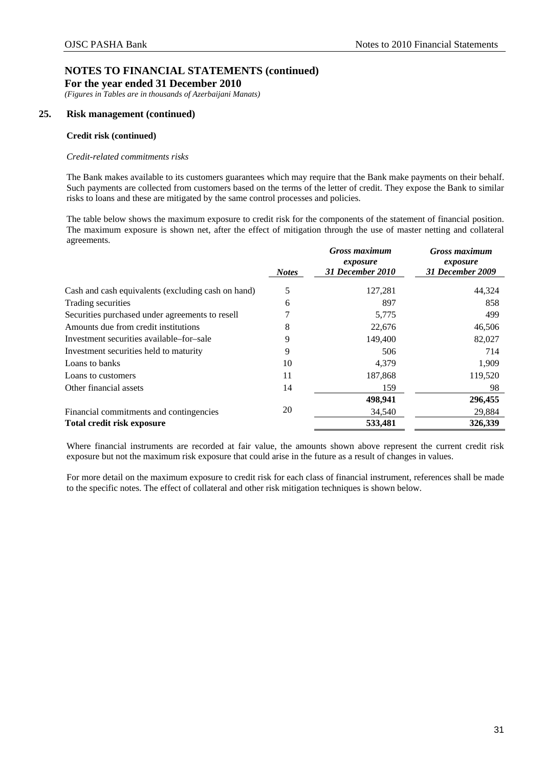*(Figures in Tables are in thousands of Azerbaijani Manats)* 

## **25. Risk management (continued)**

### **Credit risk (continued)**

### *Credit-related commitments risks*

The Bank makes available to its customers guarantees which may require that the Bank make payments on their behalf. Such payments are collected from customers based on the terms of the letter of credit. They expose the Bank to similar risks to loans and these are mitigated by the same control processes and policies.

The table below shows the maximum exposure to credit risk for the components of the statement of financial position. The maximum exposure is shown net, after the effect of mitigation through the use of master netting and collateral agreements.

|                                                    |              | <b>Gross maximum</b><br>exposure | <b>Gross maximum</b><br>exposure |
|----------------------------------------------------|--------------|----------------------------------|----------------------------------|
|                                                    | <b>Notes</b> | 31 December 2010                 | 31 December 2009                 |
| Cash and cash equivalents (excluding cash on hand) | 5            | 127,281                          | 44,324                           |
| Trading securities                                 | 6            | 897                              | 858                              |
| Securities purchased under agreements to resell    |              | 5,775                            | 499                              |
| Amounts due from credit institutions               | 8            | 22,676                           | 46,506                           |
| Investment securities available–for–sale           | 9            | 149,400                          | 82,027                           |
| Investment securities held to maturity             | 9            | 506                              | 714                              |
| Loans to banks                                     | 10           | 4,379                            | 1,909                            |
| Loans to customers                                 | 11           | 187,868                          | 119,520                          |
| Other financial assets                             | 14           | 159                              | 98                               |
|                                                    |              | 498,941                          | 296,455                          |
| Financial commitments and contingencies            | 20           | 34,540                           | 29,884                           |
| <b>Total credit risk exposure</b>                  |              | 533,481                          | 326,339                          |

Where financial instruments are recorded at fair value, the amounts shown above represent the current credit risk exposure but not the maximum risk exposure that could arise in the future as a result of changes in values.

For more detail on the maximum exposure to credit risk for each class of financial instrument, references shall be made to the specific notes. The effect of collateral and other risk mitigation techniques is shown below.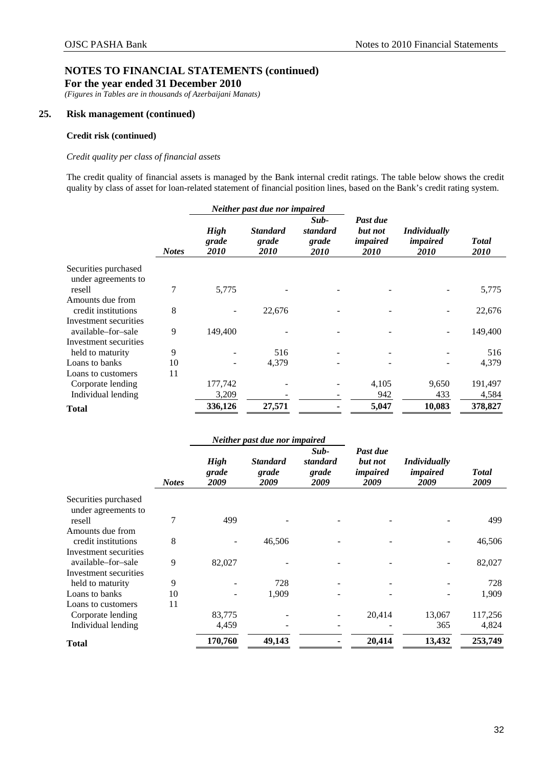*(Figures in Tables are in thousands of Azerbaijani Manats)* 

## **25. Risk management (continued)**

## **Credit risk (continued)**

## *Credit quality per class of financial assets*

The credit quality of financial assets is managed by the Bank internal credit ratings. The table below shows the credit quality by class of asset for loan-related statement of financial position lines, based on the Bank's credit rating system.

|                       | Neither past due nor impaired |                              |                                  |                                          |                                         |                                                       |                      |
|-----------------------|-------------------------------|------------------------------|----------------------------------|------------------------------------------|-----------------------------------------|-------------------------------------------------------|----------------------|
|                       | <b>Notes</b>                  | <b>High</b><br>grade<br>2010 | <b>Standard</b><br>grade<br>2010 | Sub-<br>standard<br>grade<br><i>2010</i> | Past due<br>but not<br>impaired<br>2010 | <i>Individually</i><br><i>impaired</i><br><i>2010</i> | <b>Total</b><br>2010 |
| Securities purchased  |                               |                              |                                  |                                          |                                         |                                                       |                      |
| under agreements to   |                               |                              |                                  |                                          |                                         |                                                       |                      |
| resell                | 7                             | 5,775                        |                                  |                                          |                                         |                                                       | 5,775                |
| Amounts due from      |                               |                              |                                  |                                          |                                         |                                                       |                      |
| credit institutions   | 8                             |                              | 22,676                           |                                          |                                         |                                                       | 22,676               |
| Investment securities |                               |                              |                                  |                                          |                                         |                                                       |                      |
| available-for-sale    | 9                             | 149,400                      |                                  |                                          |                                         |                                                       | 149,400              |
| Investment securities |                               |                              |                                  |                                          |                                         |                                                       |                      |
| held to maturity      | 9                             |                              | 516                              |                                          |                                         |                                                       | 516                  |
| Loans to banks        | 10                            |                              | 4,379                            |                                          |                                         |                                                       | 4,379                |
| Loans to customers    | 11                            |                              |                                  |                                          |                                         |                                                       |                      |
| Corporate lending     |                               | 177,742                      |                                  |                                          | 4,105                                   | 9,650                                                 | 191,497              |
| Individual lending    |                               | 3,209                        |                                  |                                          | 942                                     | 433                                                   | 4,584                |
| <b>Total</b>          |                               | 336,126                      | 27,571                           |                                          | 5,047                                   | 10,083                                                | 378,827              |

|                               |              |                              | Neither past due nor impaired    |                                     |                                         |                                         |                      |
|-------------------------------|--------------|------------------------------|----------------------------------|-------------------------------------|-----------------------------------------|-----------------------------------------|----------------------|
|                               | <b>Notes</b> | <b>High</b><br>grade<br>2009 | <b>Standard</b><br>grade<br>2009 | $Sub-$<br>standard<br>grade<br>2009 | Past due<br>but not<br>impaired<br>2009 | <i>Individually</i><br>impaired<br>2009 | <b>Total</b><br>2009 |
| Securities purchased          |              |                              |                                  |                                     |                                         |                                         |                      |
| under agreements to<br>resell | 7            | 499                          |                                  |                                     |                                         |                                         | 499                  |
| Amounts due from              |              |                              |                                  |                                     |                                         |                                         |                      |
| credit institutions           | 8            |                              | 46,506                           |                                     |                                         |                                         | 46,506               |
| Investment securities         |              |                              |                                  |                                     |                                         |                                         |                      |
| available-for-sale            | 9            | 82,027                       |                                  |                                     |                                         |                                         | 82,027               |
| Investment securities         |              |                              |                                  |                                     |                                         |                                         |                      |
| held to maturity              | 9            |                              | 728                              |                                     |                                         |                                         | 728                  |
| Loans to banks                | 10           |                              | 1,909                            |                                     |                                         |                                         | 1,909                |
| Loans to customers            | 11           |                              |                                  |                                     |                                         |                                         |                      |
| Corporate lending             |              | 83,775                       |                                  |                                     | 20,414                                  | 13,067                                  | 117,256              |
| Individual lending            |              | 4,459                        |                                  |                                     |                                         | 365                                     | 4,824                |
| <b>Total</b>                  |              | 170,760                      | 49,143                           |                                     | 20,414                                  | 13,432                                  | 253,749              |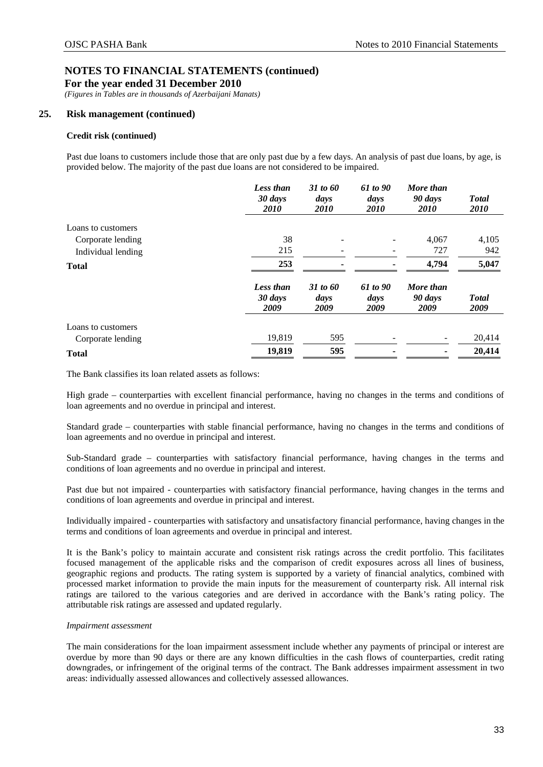*(Figures in Tables are in thousands of Azerbaijani Manats)* 

## **25. Risk management (continued)**

### **Credit risk (continued)**

Past due loans to customers include those that are only past due by a few days. An analysis of past due loans, by age, is provided below. The majority of the past due loans are not considered to be impaired.

|                    | <b>Less than</b><br>30 days<br><i>2010</i> | 31 to 60<br>days<br><i>2010</i> | 61 to 90<br>days<br><i>2010</i> | More than<br>90 days<br><i>2010</i> | <b>Total</b><br><i>2010</i> |
|--------------------|--------------------------------------------|---------------------------------|---------------------------------|-------------------------------------|-----------------------------|
| Loans to customers |                                            |                                 |                                 |                                     |                             |
| Corporate lending  | 38                                         | -                               |                                 | 4,067                               | 4,105                       |
| Individual lending | 215                                        |                                 |                                 | 727                                 | 942                         |
| <b>Total</b>       | 253                                        |                                 |                                 | 4,794                               | 5,047                       |
|                    | <b>Less than</b><br>30 days<br>2009        | 31 to 60<br>days<br>2009        | 61 to 90<br>days<br>2009        | More than<br>90 days<br>2009        | <b>Total</b><br>2009        |
| Loans to customers |                                            |                                 |                                 |                                     |                             |
| Corporate lending  | 19,819                                     | 595                             |                                 |                                     | 20,414                      |
| <b>Total</b>       | 19,819                                     | 595                             |                                 |                                     | 20,414                      |

The Bank classifies its loan related assets as follows:

High grade – counterparties with excellent financial performance, having no changes in the terms and conditions of loan agreements and no overdue in principal and interest.

Standard grade – counterparties with stable financial performance, having no changes in the terms and conditions of loan agreements and no overdue in principal and interest.

Sub-Standard grade – counterparties with satisfactory financial performance, having changes in the terms and conditions of loan agreements and no overdue in principal and interest.

Past due but not impaired - counterparties with satisfactory financial performance, having changes in the terms and conditions of loan agreements and overdue in principal and interest.

Individually impaired - counterparties with satisfactory and unsatisfactory financial performance, having changes in the terms and conditions of loan agreements and overdue in principal and interest.

It is the Bank's policy to maintain accurate and consistent risk ratings across the credit portfolio. This facilitates focused management of the applicable risks and the comparison of credit exposures across all lines of business, geographic regions and products. The rating system is supported by a variety of financial analytics, combined with processed market information to provide the main inputs for the measurement of counterparty risk. All internal risk ratings are tailored to the various categories and are derived in accordance with the Bank's rating policy. The attributable risk ratings are assessed and updated regularly.

### *Impairment assessment*

The main considerations for the loan impairment assessment include whether any payments of principal or interest are overdue by more than 90 days or there are any known difficulties in the cash flows of counterparties, credit rating downgrades, or infringement of the original terms of the contract. The Bank addresses impairment assessment in two areas: individually assessed allowances and collectively assessed allowances.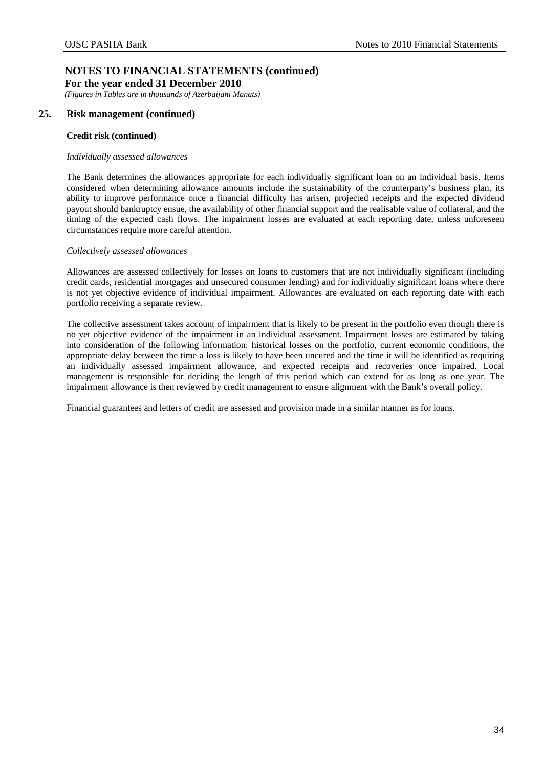*(Figures in Tables are in thousands of Azerbaijani Manats)* 

## **25. Risk management (continued)**

### **Credit risk (continued)**

### *Individually assessed allowances*

The Bank determines the allowances appropriate for each individually significant loan on an individual basis. Items considered when determining allowance amounts include the sustainability of the counterparty's business plan, its ability to improve performance once a financial difficulty has arisen, projected receipts and the expected dividend payout should bankruptcy ensue, the availability of other financial support and the realisable value of collateral, and the timing of the expected cash flows. The impairment losses are evaluated at each reporting date, unless unforeseen circumstances require more careful attention.

### *Collectively assessed allowances*

Allowances are assessed collectively for losses on loans to customers that are not individually significant (including credit cards, residential mortgages and unsecured consumer lending) and for individually significant loans where there is not yet objective evidence of individual impairment. Allowances are evaluated on each reporting date with each portfolio receiving a separate review.

The collective assessment takes account of impairment that is likely to be present in the portfolio even though there is no yet objective evidence of the impairment in an individual assessment. Impairment losses are estimated by taking into consideration of the following information: historical losses on the portfolio, current economic conditions, the appropriate delay between the time a loss is likely to have been uncured and the time it will be identified as requiring an individually assessed impairment allowance, and expected receipts and recoveries once impaired. Local management is responsible for deciding the length of this period which can extend for as long as one year. The impairment allowance is then reviewed by credit management to ensure alignment with the Bank's overall policy.

Financial guarantees and letters of credit are assessed and provision made in a similar manner as for loans.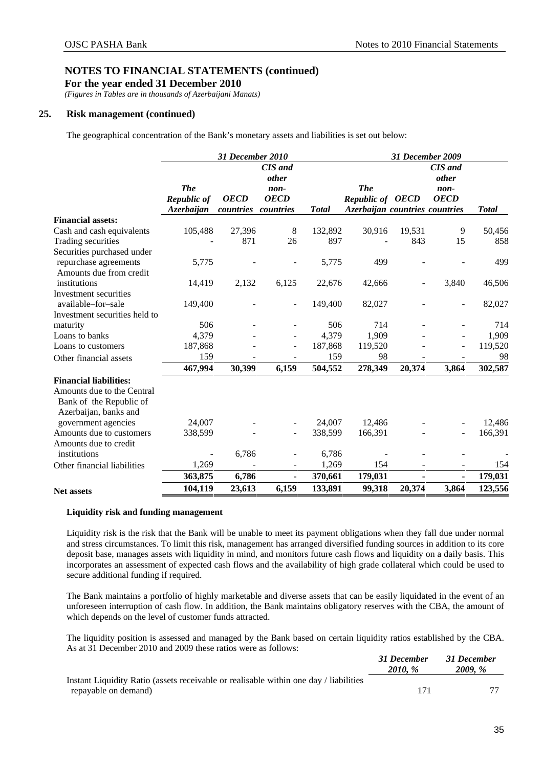**For the year ended 31 December 2010** 

*(Figures in Tables are in thousands of Azerbaijani Manats)* 

## **25. Risk management (continued)**

The geographical concentration of the Bank's monetary assets and liabilities is set out below:

|                                                                                |                                         | 31 December 2010         |                                                             |              |                                                                         |        | 31 December 2009                                      |              |
|--------------------------------------------------------------------------------|-----------------------------------------|--------------------------|-------------------------------------------------------------|--------------|-------------------------------------------------------------------------|--------|-------------------------------------------------------|--------------|
|                                                                                | <b>The</b><br>Republic of<br>Azerbaijan | <b>OECD</b><br>countries | CIS and<br><i>other</i><br>non-<br><b>OECD</b><br>countries | <b>Total</b> | <b>The</b><br><b>Republic of OECD</b><br>Azerbaijan countries countries |        | <b>CIS</b> and<br><i>other</i><br>non-<br><b>OECD</b> | <b>Total</b> |
| <b>Financial assets:</b>                                                       |                                         |                          |                                                             |              |                                                                         |        |                                                       |              |
| Cash and cash equivalents                                                      | 105,488                                 | 27,396                   | 8                                                           | 132,892      | 30,916                                                                  | 19,531 | 9                                                     | 50,456       |
| Trading securities                                                             |                                         | 871                      | 26                                                          | 897          |                                                                         | 843    | 15                                                    | 858          |
| Securities purchased under<br>repurchase agreements<br>Amounts due from credit | 5,775                                   |                          |                                                             | 5,775        | 499                                                                     |        |                                                       | 499          |
| institutions                                                                   | 14,419                                  | 2,132                    | 6,125                                                       | 22,676       | 42,666                                                                  |        | 3,840                                                 | 46,506       |
| Investment securities<br>available-for-sale                                    | 149,400                                 |                          | $\overline{\phantom{a}}$                                    | 149,400      | 82,027                                                                  |        |                                                       | 82,027       |
| Investment securities held to                                                  |                                         |                          |                                                             |              |                                                                         |        |                                                       |              |
| maturity                                                                       | 506                                     |                          |                                                             | 506          | 714                                                                     |        |                                                       | 714          |
| Loans to banks                                                                 | 4,379                                   |                          |                                                             | 4,379        | 1,909                                                                   |        |                                                       | 1,909        |
| Loans to customers                                                             | 187,868                                 |                          | $\blacksquare$                                              | 187,868      | 119,520                                                                 |        |                                                       | 119,520      |
| Other financial assets                                                         | 159                                     |                          |                                                             | 159          | 98                                                                      |        |                                                       | 98           |
|                                                                                | 467,994                                 | 30,399                   | 6,159                                                       | 504,552      | 278,349                                                                 | 20,374 | 3,864                                                 | 302,587      |
| <b>Financial liabilities:</b>                                                  |                                         |                          |                                                             |              |                                                                         |        |                                                       |              |
| Amounts due to the Central<br>Bank of the Republic of<br>Azerbaijan, banks and |                                         |                          |                                                             |              |                                                                         |        |                                                       |              |
| government agencies                                                            | 24,007                                  |                          |                                                             | 24,007       | 12,486                                                                  |        |                                                       | 12,486       |
| Amounts due to customers                                                       | 338,599                                 |                          |                                                             | 338,599      | 166,391                                                                 |        |                                                       | 166,391      |
| Amounts due to credit<br>institutions                                          | $\overline{a}$                          | 6,786                    |                                                             | 6,786        |                                                                         |        |                                                       |              |
| Other financial liabilities                                                    | 1,269                                   |                          |                                                             | 1,269        | 154                                                                     |        |                                                       | 154          |
|                                                                                | 363,875                                 | 6,786                    | $\blacksquare$                                              | 370,661      | 179,031                                                                 |        | $\blacksquare$                                        | 179,031      |
| <b>Net assets</b>                                                              | 104,119                                 | 23,613                   | 6,159                                                       | 133,891      | 99,318                                                                  | 20,374 | 3,864                                                 | 123,556      |

### **Liquidity risk and funding management**

Liquidity risk is the risk that the Bank will be unable to meet its payment obligations when they fall due under normal and stress circumstances. To limit this risk, management has arranged diversified funding sources in addition to its core deposit base, manages assets with liquidity in mind, and monitors future cash flows and liquidity on a daily basis. This incorporates an assessment of expected cash flows and the availability of high grade collateral which could be used to secure additional funding if required.

The Bank maintains a portfolio of highly marketable and diverse assets that can be easily liquidated in the event of an unforeseen interruption of cash flow. In addition, the Bank maintains obligatory reserves with the CBA, the amount of which depends on the level of customer funds attracted.

The liquidity position is assessed and managed by the Bank based on certain liquidity ratios established by the CBA. As at 31 December 2010 and 2009 these ratios were as follows:

|                                                                                       | 31 December<br>2010. \% | 31 December<br><b>2009.</b> % |
|---------------------------------------------------------------------------------------|-------------------------|-------------------------------|
| Instant Liquidity Ratio (assets receivable or realisable within one day / liabilities |                         |                               |
| repayable on demand)                                                                  | 171                     |                               |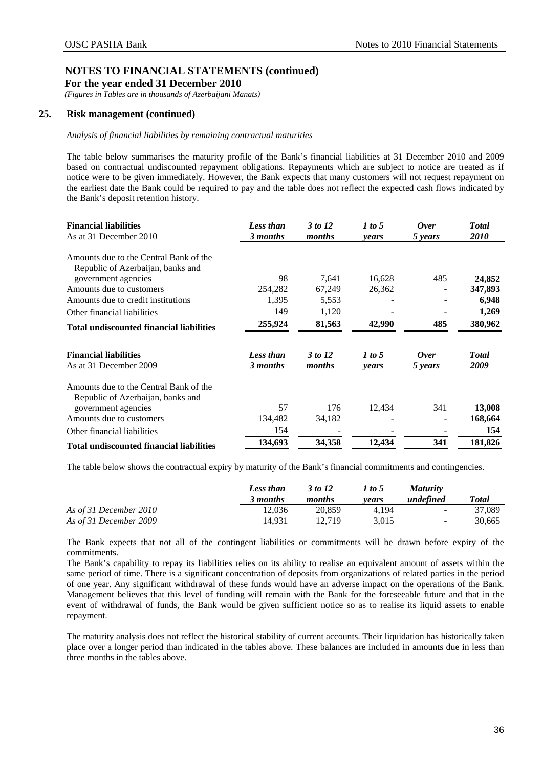*(Figures in Tables are in thousands of Azerbaijani Manats)* 

## **25. Risk management (continued)**

### *Analysis of financial liabilities by remaining contractual maturities*

The table below summarises the maturity profile of the Bank's financial liabilities at 31 December 2010 and 2009 based on contractual undiscounted repayment obligations. Repayments which are subject to notice are treated as if notice were to be given immediately. However, the Bank expects that many customers will not request repayment on the earliest date the Bank could be required to pay and the table does not reflect the expected cash flows indicated by the Bank's deposit retention history.

| <b>Financial liabilities</b><br>As at 31 December 2010                      | <b>Less than</b><br>3 months | 3 to 12<br>months | 1 to 5<br>years | Over<br>5 years | <b>Total</b><br>2010 |
|-----------------------------------------------------------------------------|------------------------------|-------------------|-----------------|-----------------|----------------------|
| Amounts due to the Central Bank of the                                      |                              |                   |                 |                 |                      |
| Republic of Azerbaijan, banks and                                           |                              |                   |                 |                 |                      |
| government agencies                                                         | 98                           | 7,641             | 16,628          | 485             | 24,852               |
| Amounts due to customers                                                    | 254,282                      | 67,249            | 26,362          |                 | 347,893              |
| Amounts due to credit institutions                                          | 1,395                        | 5,553             |                 |                 | 6,948                |
| Other financial liabilities                                                 | 149                          | 1,120             |                 |                 | 1,269                |
| <b>Total undiscounted financial liabilities</b>                             | 255,924                      | 81,563            | 42,990          | 485             | 380,962              |
| <b>Financial liabilities</b>                                                | <b>Less than</b>             | 3 to 12           | 1 to 5          | <b>Over</b>     | <b>Total</b>         |
| As at 31 December 2009                                                      | 3 months                     | months            | years           | 5 years         | 2009                 |
| Amounts due to the Central Bank of the<br>Republic of Azerbaijan, banks and |                              |                   |                 |                 |                      |
| government agencies                                                         | 57                           | 176               | 12,434          | 341             | 13,008               |
| Amounts due to customers                                                    | 134,482                      | 34,182            |                 |                 | 168,664              |
| Other financial liabilities                                                 | 154                          |                   |                 |                 | 154                  |
| <b>Total undiscounted financial liabilities</b>                             | 134,693                      | 34,358            | 12,434          | 341             | 181,826              |

The table below shows the contractual expiry by maturity of the Bank's financial commitments and contingencies.

|                        | Less than<br>3 months | 3 to 12<br>months | 1 to 5<br>vears | <i>Maturity</i><br>undefined | <b>Total</b> |
|------------------------|-----------------------|-------------------|-----------------|------------------------------|--------------|
| As of 31 December 2010 | 12.036                | 20,859            | 4.194           | $\sim$                       | 37,089       |
| As of 31 December 2009 | 14.931                | 12.719            | 3.015           | $\sim$                       | 30.665       |

The Bank expects that not all of the contingent liabilities or commitments will be drawn before expiry of the commitments.

The Bank's capability to repay its liabilities relies on its ability to realise an equivalent amount of assets within the same period of time. There is a significant concentration of deposits from organizations of related parties in the period of one year. Any significant withdrawal of these funds would have an adverse impact on the operations of the Bank. Management believes that this level of funding will remain with the Bank for the foreseeable future and that in the event of withdrawal of funds, the Bank would be given sufficient notice so as to realise its liquid assets to enable repayment.

The maturity analysis does not reflect the historical stability of current accounts. Their liquidation has historically taken place over a longer period than indicated in the tables above. These balances are included in amounts due in less than three months in the tables above.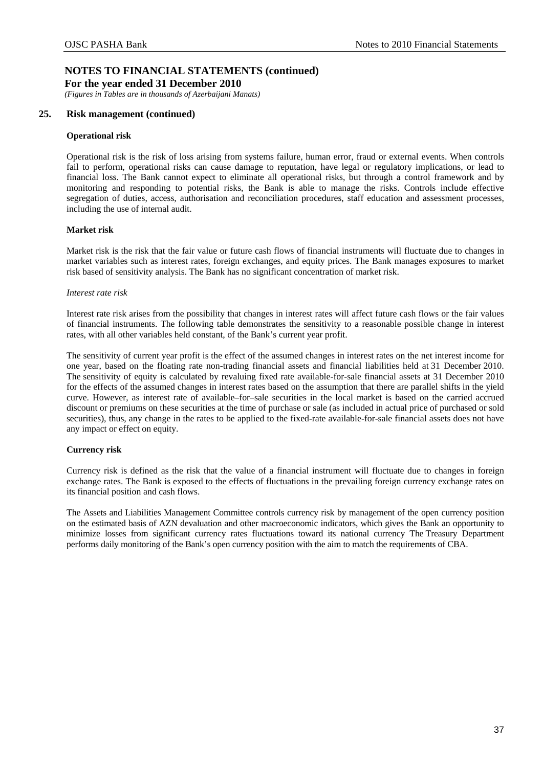*(Figures in Tables are in thousands of Azerbaijani Manats)* 

## **25. Risk management (continued)**

### **Operational risk**

Operational risk is the risk of loss arising from systems failure, human error, fraud or external events. When controls fail to perform, operational risks can cause damage to reputation, have legal or regulatory implications, or lead to financial loss. The Bank cannot expect to eliminate all operational risks, but through a control framework and by monitoring and responding to potential risks, the Bank is able to manage the risks. Controls include effective segregation of duties, access, authorisation and reconciliation procedures, staff education and assessment processes, including the use of internal audit.

### **Market risk**

Market risk is the risk that the fair value or future cash flows of financial instruments will fluctuate due to changes in market variables such as interest rates, foreign exchanges, and equity prices. The Bank manages exposures to market risk based of sensitivity analysis. The Bank has no significant concentration of market risk.

### *Interest rate risk*

Interest rate risk arises from the possibility that changes in interest rates will affect future cash flows or the fair values of financial instruments. The following table demonstrates the sensitivity to a reasonable possible change in interest rates, with all other variables held constant, of the Bank's current year profit.

The sensitivity of current year profit is the effect of the assumed changes in interest rates on the net interest income for one year, based on the floating rate non-trading financial assets and financial liabilities held at 31 December 2010. The sensitivity of equity is calculated by revaluing fixed rate available-for-sale financial assets at 31 December 2010 for the effects of the assumed changes in interest rates based on the assumption that there are parallel shifts in the yield curve. However, as interest rate of available–for–sale securities in the local market is based on the carried accrued discount or premiums on these securities at the time of purchase or sale (as included in actual price of purchased or sold securities), thus, any change in the rates to be applied to the fixed-rate available-for-sale financial assets does not have any impact or effect on equity.

## **Currency risk**

Currency risk is defined as the risk that the value of a financial instrument will fluctuate due to changes in foreign exchange rates. The Bank is exposed to the effects of fluctuations in the prevailing foreign currency exchange rates on its financial position and cash flows.

The Assets and Liabilities Management Committee controls currency risk by management of the open currency position on the estimated basis of AZN devaluation and other macroeconomic indicators, which gives the Bank an opportunity to minimize losses from significant currency rates fluctuations toward its national currency The Treasury Department performs daily monitoring of the Bank's open currency position with the aim to match the requirements of CBA.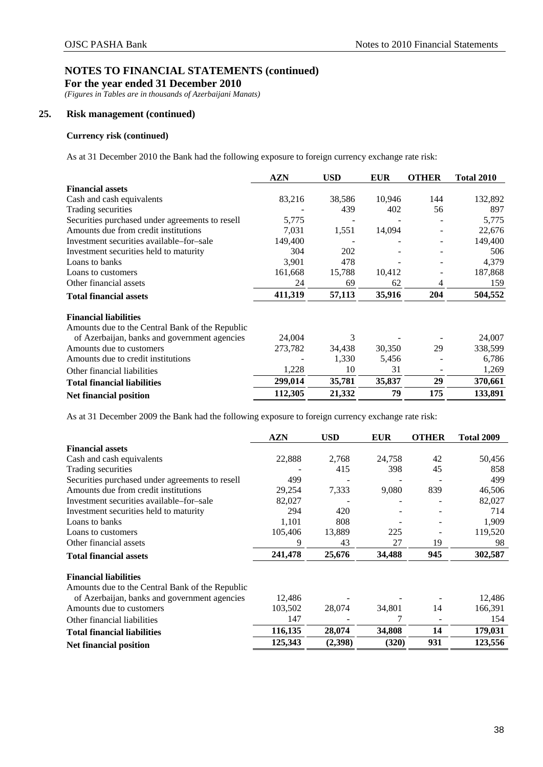**For the year ended 31 December 2010** 

*(Figures in Tables are in thousands of Azerbaijani Manats)* 

## **25. Risk management (continued)**

## **Currency risk (continued)**

As at 31 December 2010 the Bank had the following exposure to foreign currency exchange rate risk:

|                                                 | <b>AZN</b> | <b>USD</b> | <b>EUR</b> | <b>OTHER</b> | <b>Total 2010</b> |
|-------------------------------------------------|------------|------------|------------|--------------|-------------------|
| <b>Financial assets</b>                         |            |            |            |              |                   |
| Cash and cash equivalents                       | 83,216     | 38,586     | 10,946     | 144          | 132,892           |
| Trading securities                              |            | 439        | 402        | 56           | 897               |
| Securities purchased under agreements to resell | 5,775      |            |            |              | 5,775             |
| Amounts due from credit institutions            | 7,031      | 1,551      | 14,094     |              | 22,676            |
| Investment securities available–for–sale        | 149,400    |            |            |              | 149,400           |
| Investment securities held to maturity          | 304        | 202        |            |              | 506               |
| Loans to banks                                  | 3,901      | 478        |            |              | 4,379             |
| Loans to customers                              | 161,668    | 15,788     | 10,412     |              | 187,868           |
| Other financial assets                          | 24         | 69         | 62         | 4            | 159               |
| <b>Total financial assets</b>                   | 411,319    | 57,113     | 35,916     | 204          | 504,552           |
| <b>Financial liabilities</b>                    |            |            |            |              |                   |
| Amounts due to the Central Bank of the Republic |            |            |            |              |                   |
| of Azerbaijan, banks and government agencies    | 24,004     | 3          |            |              | 24,007            |
| Amounts due to customers                        | 273,782    | 34,438     | 30,350     | 29           | 338,599           |
| Amounts due to credit institutions              |            | 1,330      | 5,456      |              | 6,786             |
| Other financial liabilities                     | 1,228      | 10         | 31         |              | 1,269             |
| <b>Total financial liabilities</b>              | 299,014    | 35,781     | 35,837     | 29           | 370,661           |
| Net financial position                          | 112,305    | 21,332     | 79         | 175          | 133,891           |

As at 31 December 2009 the Bank had the following exposure to foreign currency exchange rate risk:

|                                                 | <b>AZN</b> | <b>USD</b> | <b>EUR</b> | <b>OTHER</b> | <b>Total 2009</b> |
|-------------------------------------------------|------------|------------|------------|--------------|-------------------|
| <b>Financial assets</b>                         |            |            |            |              |                   |
| Cash and cash equivalents                       | 22,888     | 2,768      | 24,758     | 42           | 50,456            |
| Trading securities                              |            | 415        | 398        | 45           | 858               |
| Securities purchased under agreements to resell | 499        |            |            |              | 499               |
| Amounts due from credit institutions            | 29,254     | 7,333      | 9,080      | 839          | 46,506            |
| Investment securities available–for–sale        | 82,027     |            |            |              | 82,027            |
| Investment securities held to maturity          | 294        | 420        |            |              | 714               |
| Loans to banks                                  | 1,101      | 808        |            |              | 1,909             |
| Loans to customers                              | 105,406    | 13,889     | 225        |              | 119,520           |
| Other financial assets                          | 9          | 43         | 27         | 19           | 98                |
| <b>Total financial assets</b>                   | 241,478    | 25,676     | 34,488     | 945          | 302,587           |
| <b>Financial liabilities</b>                    |            |            |            |              |                   |
| Amounts due to the Central Bank of the Republic |            |            |            |              |                   |
| of Azerbaijan, banks and government agencies    | 12,486     |            |            |              | 12,486            |
| Amounts due to customers                        | 103,502    | 28,074     | 34,801     | 14           | 166,391           |
| Other financial liabilities                     | 147        |            | 7          |              | 154               |
| <b>Total financial liabilities</b>              | 116,135    | 28,074     | 34,808     | 14           | 179,031           |
| Net financial position                          | 125,343    | (2,398)    | (320)      | 931          | 123,556           |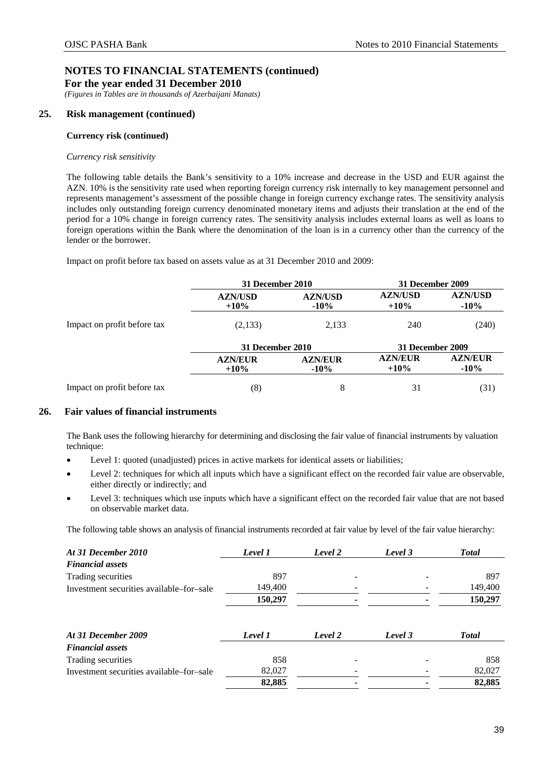*(Figures in Tables are in thousands of Azerbaijani Manats)* 

## **25. Risk management (continued)**

### **Currency risk (continued)**

### *Currency risk sensitivity*

The following table details the Bank's sensitivity to a 10% increase and decrease in the USD and EUR against the AZN. 10% is the sensitivity rate used when reporting foreign currency risk internally to key management personnel and represents management's assessment of the possible change in foreign currency exchange rates. The sensitivity analysis includes only outstanding foreign currency denominated monetary items and adjusts their translation at the end of the period for a 10% change in foreign currency rates. The sensitivity analysis includes external loans as well as loans to foreign operations within the Bank where the denomination of the loan is in a currency other than the currency of the lender or the borrower.

Impact on profit before tax based on assets value as at 31 December 2010 and 2009:

|                             | 31 December 2010          |                           | 31 December 2009          |                           |  |
|-----------------------------|---------------------------|---------------------------|---------------------------|---------------------------|--|
|                             | <b>AZN/USD</b><br>$+10\%$ | <b>AZN/USD</b><br>$-10\%$ | <b>AZN/USD</b><br>$+10%$  | <b>AZN/USD</b><br>$-10\%$ |  |
| Impact on profit before tax | (2,133)                   | 2,133                     | 240                       | (240)                     |  |
|                             | 31 December 2010          |                           | 31 December 2009          |                           |  |
|                             | <b>AZN/EUR</b><br>$+10\%$ | <b>AZN/EUR</b><br>$-10\%$ | <b>AZN/EUR</b><br>$+10\%$ | <b>AZN/EUR</b><br>$-10\%$ |  |
| Impact on profit before tax | (8)                       | 8                         | 31                        | (31)                      |  |

## <span id="page-41-0"></span>**26. Fair values of financial instruments**

The Bank uses the following hierarchy for determining and disclosing the fair value of financial instruments by valuation technique:

- Level 1: quoted (unadjusted) prices in active markets for identical assets or liabilities;
- Level 2: techniques for which all inputs which have a significant effect on the recorded fair value are observable, either directly or indirectly; and
- Level 3: techniques which use inputs which have a significant effect on the recorded fair value that are not based on observable market data.

The following table shows an analysis of financial instruments recorded at fair value by level of the fair value hierarchy:

| Level 1 | Level 2 | Level 3 | <b>Total</b> |
|---------|---------|---------|--------------|
|         |         |         |              |
| 897     |         |         | 897          |
| 149,400 |         |         | 149,400      |
| 150,297 |         |         | 150,297      |
| Level 1 | Level 2 | Level 3 | <b>Total</b> |
|         |         |         |              |
| 858     |         |         | 858          |
| 82,027  |         |         | 82,027       |
| 82,885  |         |         | 82,885       |
|         |         |         |              |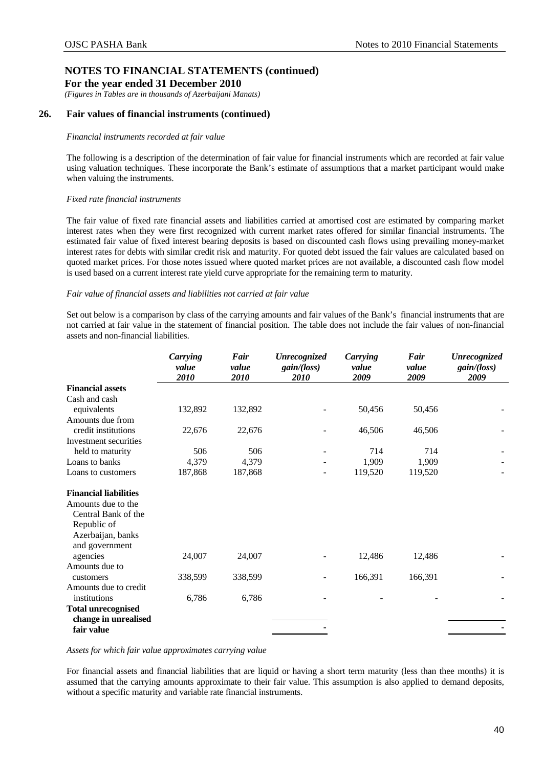*(Figures in Tables are in thousands of Azerbaijani Manats)* 

## **26. Fair values of financial instruments (continued)**

### *Financial instruments recorded at fair value*

The following is a description of the determination of fair value for financial instruments which are recorded at fair value using valuation techniques. These incorporate the Bank's estimate of assumptions that a market participant would make when valuing the instruments.

## *Fixed rate financial instruments*

The fair value of fixed rate financial assets and liabilities carried at amortised cost are estimated by comparing market interest rates when they were first recognized with current market rates offered for similar financial instruments. The estimated fair value of fixed interest bearing deposits is based on discounted cash flows using prevailing money-market interest rates for debts with similar credit risk and maturity. For quoted debt issued the fair values are calculated based on quoted market prices. For those notes issued where quoted market prices are not available, a discounted cash flow model is used based on a current interest rate yield curve appropriate for the remaining term to maturity.

### *Fair value of financial assets and liabilities not carried at fair value*

Set out below is a comparison by class of the carrying amounts and fair values of the Bank's financial instruments that are not carried at fair value in the statement of financial position. The table does not include the fair values of non-financial assets and non-financial liabilities.

|                              | Carrying<br>value<br>2010 | Fair<br>value<br>2010 | Unrecognized<br>gain/(loss)<br>2010 | Carrying<br>value<br>2009 | Fair<br>value<br>2009 | <b>Unrecognized</b><br>gain/(loss)<br>2009 |
|------------------------------|---------------------------|-----------------------|-------------------------------------|---------------------------|-----------------------|--------------------------------------------|
| <b>Financial assets</b>      |                           |                       |                                     |                           |                       |                                            |
| Cash and cash                |                           |                       |                                     |                           |                       |                                            |
| equivalents                  | 132,892                   | 132,892               |                                     | 50,456                    | 50,456                |                                            |
| Amounts due from             |                           |                       |                                     |                           |                       |                                            |
| credit institutions          | 22,676                    | 22,676                |                                     | 46,506                    | 46,506                |                                            |
| Investment securities        |                           |                       |                                     |                           |                       |                                            |
| held to maturity             | 506                       | 506                   |                                     | 714                       | 714                   |                                            |
| Loans to banks               | 4,379                     | 4,379                 |                                     | 1,909                     | 1,909                 |                                            |
| Loans to customers           | 187,868                   | 187,868               |                                     | 119,520                   | 119,520               |                                            |
| <b>Financial liabilities</b> |                           |                       |                                     |                           |                       |                                            |
| Amounts due to the           |                           |                       |                                     |                           |                       |                                            |
| Central Bank of the          |                           |                       |                                     |                           |                       |                                            |
| Republic of                  |                           |                       |                                     |                           |                       |                                            |
| Azerbaijan, banks            |                           |                       |                                     |                           |                       |                                            |
| and government               |                           |                       |                                     |                           |                       |                                            |
| agencies                     | 24,007                    | 24,007                |                                     | 12,486                    | 12,486                |                                            |
| Amounts due to               |                           |                       |                                     |                           |                       |                                            |
| customers                    | 338,599                   | 338,599               |                                     | 166,391                   | 166,391               |                                            |
| Amounts due to credit        |                           |                       |                                     |                           |                       |                                            |
| institutions                 | 6,786                     | 6,786                 |                                     |                           |                       |                                            |
| <b>Total unrecognised</b>    |                           |                       |                                     |                           |                       |                                            |
| change in unrealised         |                           |                       |                                     |                           |                       |                                            |
| fair value                   |                           |                       |                                     |                           |                       |                                            |

*Assets for which fair value approximates carrying value*

For financial assets and financial liabilities that are liquid or having a short term maturity (less than thee months) it is assumed that the carrying amounts approximate to their fair value. This assumption is also applied to demand deposits, without a specific maturity and variable rate financial instruments.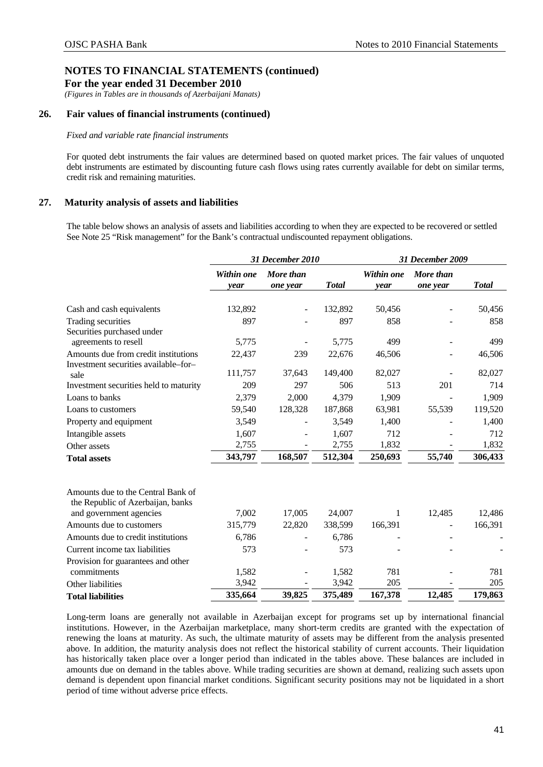*(Figures in Tables are in thousands of Azerbaijani Manats)* 

## **26. Fair values of financial instruments (continued)**

### *Fixed and variable rate financial instruments*

For quoted debt instruments the fair values are determined based on quoted market prices. The fair values of unquoted debt instruments are estimated by discounting future cash flows using rates currently available for debt on similar terms, credit risk and remaining maturities.

## <span id="page-43-0"></span>**27. Maturity analysis of assets and liabilities**

The table below shows an analysis of assets and liabilities according to when they are expected to be recovered or settled See Note 25 "Risk management" for the Bank's contractual undiscounted repayment obligations.

|                                                                                                    |                    | 31 December 2010      |              |                    | 31 December 2009      |               |
|----------------------------------------------------------------------------------------------------|--------------------|-----------------------|--------------|--------------------|-----------------------|---------------|
|                                                                                                    | Within one<br>year | More than<br>one year | <b>Total</b> | Within one<br>year | More than<br>one year | <b>T</b> otal |
| Cash and cash equivalents                                                                          | 132,892            |                       | 132,892      | 50,456             |                       | 50,456        |
| Trading securities                                                                                 | 897                |                       | 897          | 858                |                       | 858           |
| Securities purchased under                                                                         |                    |                       |              |                    |                       |               |
| agreements to resell                                                                               | 5,775              |                       | 5,775        | 499                |                       | 499           |
| Amounts due from credit institutions<br>Investment securities available-for-                       | 22,437             | 239                   | 22,676       | 46,506             |                       | 46,506        |
| sale                                                                                               | 111,757            | 37,643                | 149,400      | 82,027             |                       | 82,027        |
| Investment securities held to maturity                                                             | 209                | 297                   | 506          | 513                | 201                   | 714           |
| Loans to banks                                                                                     | 2,379              | 2,000                 | 4,379        | 1,909              |                       | 1,909         |
| Loans to customers                                                                                 | 59,540             | 128,328               | 187,868      | 63,981             | 55,539                | 119,520       |
| Property and equipment                                                                             | 3,549              |                       | 3,549        | 1,400              |                       | 1,400         |
| Intangible assets                                                                                  | 1,607              |                       | 1,607        | 712                |                       | 712           |
| Other assets                                                                                       | 2,755              |                       | 2,755        | 1,832              |                       | 1,832         |
| <b>Total assets</b>                                                                                | 343,797            | 168,507               | 512,304      | 250,693            | 55,740                | 306,433       |
| Amounts due to the Central Bank of<br>the Republic of Azerbaijan, banks<br>and government agencies | 7,002              | 17,005                | 24,007       | 1                  | 12,485                | 12,486        |
| Amounts due to customers                                                                           | 315,779            | 22,820                | 338,599      | 166,391            |                       | 166,391       |
| Amounts due to credit institutions                                                                 | 6,786              |                       | 6,786        |                    |                       |               |
| Current income tax liabilities                                                                     | 573                |                       | 573          |                    |                       |               |
| Provision for guarantees and other                                                                 |                    |                       |              |                    |                       |               |
| commitments                                                                                        | 1,582              |                       | 1,582        | 781                |                       | 781           |
| Other liabilities                                                                                  | 3,942              |                       | 3,942        | 205                |                       | 205           |
| <b>Total liabilities</b>                                                                           | 335,664            | 39,825                | 375,489      | 167,378            | 12,485                | 179,863       |

Long-term loans are generally not available in Azerbaijan except for programs set up by international financial institutions. However, in the Azerbaijan marketplace, many short-term credits are granted with the expectation of renewing the loans at maturity. As such, the ultimate maturity of assets may be different from the analysis presented above. In addition, the maturity analysis does not reflect the historical stability of current accounts. Their liquidation has historically taken place over a longer period than indicated in the tables above. These balances are included in amounts due on demand in the tables above. While trading securities are shown at demand, realizing such assets upon demand is dependent upon financial market conditions. Significant security positions may not be liquidated in a short period of time without adverse price effects.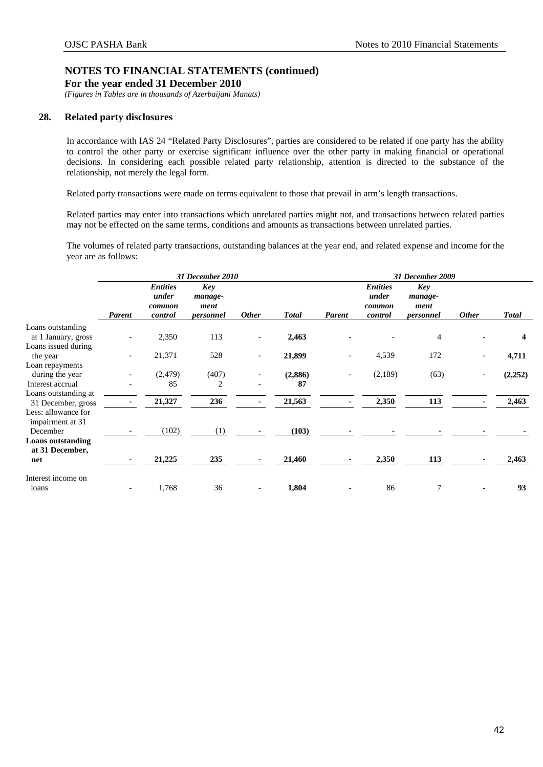*(Figures in Tables are in thousands of Azerbaijani Manats)* 

## <span id="page-44-0"></span>**28. Related party disclosures**

In accordance with IAS 24 "Related Party Disclosures", parties are considered to be related if one party has the ability to control the other party or exercise significant influence over the other party in making financial or operational decisions. In considering each possible related party relationship, attention is directed to the substance of the relationship, not merely the legal form.

Related party transactions were made on terms equivalent to those that prevail in arm's length transactions.

Related parties may enter into transactions which unrelated parties might not, and transactions between related parties may not be effected on the same terms, conditions and amounts as transactions between unrelated parties.

The volumes of related party transactions, outstanding balances at the year end, and related expense and income for the year are as follows:

|                                                               |               | 31 December 2010<br><b>Entities</b><br><b>Key</b><br>under<br>manage-<br>ment<br>common<br><b>Other</b><br>control<br>personnel<br>113<br>2,350<br>$\overline{\phantom{a}}$<br>$\overline{\phantom{a}}$<br>21,371<br>528<br>$\overline{\phantom{a}}$<br>$\overline{\phantom{a}}$ |       |  |              | 31 December 2009         |                                               |                                            |                          |              |
|---------------------------------------------------------------|---------------|----------------------------------------------------------------------------------------------------------------------------------------------------------------------------------------------------------------------------------------------------------------------------------|-------|--|--------------|--------------------------|-----------------------------------------------|--------------------------------------------|--------------------------|--------------|
|                                                               | <b>Parent</b> |                                                                                                                                                                                                                                                                                  |       |  | <b>Total</b> | <b>Parent</b>            | <b>Entities</b><br>under<br>common<br>control | <b>Key</b><br>manage-<br>ment<br>personnel | <b>Other</b>             | <b>Total</b> |
| Loans outstanding                                             |               |                                                                                                                                                                                                                                                                                  |       |  |              |                          |                                               |                                            |                          |              |
| at 1 January, gross<br>Loans issued during                    |               |                                                                                                                                                                                                                                                                                  |       |  | 2,463        |                          |                                               | $\overline{4}$                             |                          | 4            |
| the year                                                      |               |                                                                                                                                                                                                                                                                                  |       |  | 21,899       | $\overline{\phantom{a}}$ | 4,539                                         | 172                                        | $\overline{\phantom{a}}$ | 4,711        |
| Loan repayments                                               |               |                                                                                                                                                                                                                                                                                  |       |  |              |                          |                                               |                                            |                          |              |
| during the year                                               |               | (2, 479)                                                                                                                                                                                                                                                                         | (407) |  | (2,886)      |                          | (2,189)                                       | (63)                                       |                          | (2, 252)     |
| Interest accrual                                              |               | 85                                                                                                                                                                                                                                                                               | 2     |  | 87           |                          |                                               |                                            |                          |              |
| Loans outstanding at                                          |               | 21,327                                                                                                                                                                                                                                                                           | 236   |  | 21,563       |                          | 2,350                                         | 113                                        |                          | 2,463        |
| 31 December, gross<br>Less: allowance for<br>impairment at 31 |               |                                                                                                                                                                                                                                                                                  |       |  |              |                          |                                               |                                            |                          |              |
| December                                                      |               | (102)                                                                                                                                                                                                                                                                            | (1)   |  | (103)        |                          |                                               |                                            |                          |              |
| <b>Loans outstanding</b><br>at 31 December,                   |               |                                                                                                                                                                                                                                                                                  |       |  |              |                          |                                               |                                            |                          |              |
| net                                                           |               | 21,225                                                                                                                                                                                                                                                                           | 235   |  | 21,460       |                          | 2,350                                         | 113                                        |                          | 2,463        |
| Interest income on                                            |               |                                                                                                                                                                                                                                                                                  |       |  |              |                          |                                               |                                            |                          |              |
| loans                                                         |               | 1,768                                                                                                                                                                                                                                                                            | 36    |  | 1,804        |                          | 86                                            | 7                                          |                          | 93           |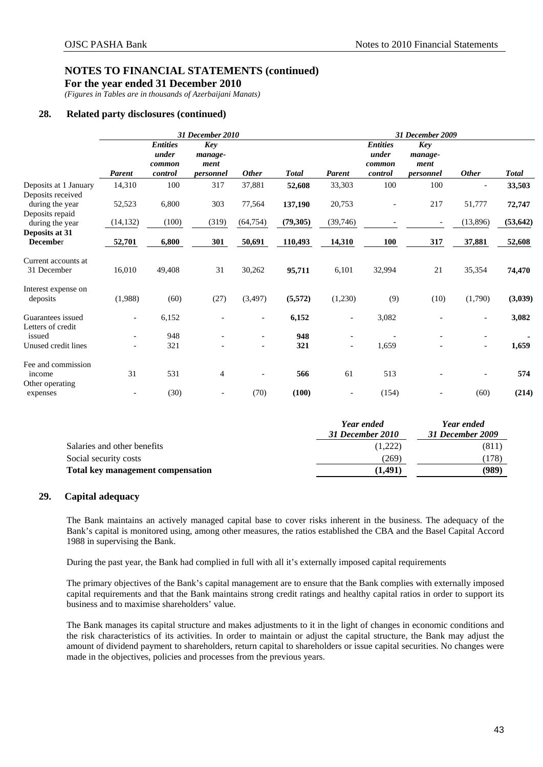**For the year ended 31 December 2010** 

*(Figures in Tables are in thousands of Azerbaijani Manats)* 

## **28. Related party disclosures (continued)**

|                                            |                          |                                               | 31 December 2010                           |                          |              |                          |                                               | 31 December 2009                           |                          |              |
|--------------------------------------------|--------------------------|-----------------------------------------------|--------------------------------------------|--------------------------|--------------|--------------------------|-----------------------------------------------|--------------------------------------------|--------------------------|--------------|
|                                            | <b>Parent</b>            | <b>Entities</b><br>under<br>common<br>control | <b>Key</b><br>manage-<br>ment<br>personnel | <b>Other</b>             | <b>Total</b> | <b>Parent</b>            | <b>Entities</b><br>under<br>common<br>control | <b>Key</b><br>manage-<br>ment<br>personnel | <b>Other</b>             | <b>Total</b> |
| Deposits at 1 January<br>Deposits received | 14,310                   | 100                                           | 317                                        | 37,881                   | 52,608       | 33,303                   | 100                                           | 100                                        |                          | 33,503       |
| during the year<br>Deposits repaid         | 52,523                   | 6,800                                         | 303                                        | 77,564                   | 137,190      | 20,753                   |                                               | 217                                        | 51,777                   | 72,747       |
| during the year                            | (14, 132)                | (100)                                         | (319)                                      | (64, 754)                | (79, 305)    | (39, 746)                |                                               |                                            | (13,896)                 | (53, 642)    |
| Deposits at 31<br><b>December</b>          | 52,701                   | 6,800                                         | 301                                        | 50,691                   | 110,493      | 14,310                   | <b>100</b>                                    | 317                                        | 37,881                   | 52,608       |
| Current accounts at<br>31 December         | 16,010                   | 49,408                                        | 31                                         | 30,262                   | 95,711       | 6,101                    | 32,994                                        | 21                                         | 35,354                   | 74,470       |
| Interest expense on<br>deposits            | (1,988)                  | (60)                                          | (27)                                       | (3,497)                  | (5,572)      | (1,230)                  | (9)                                           | (10)                                       | (1,790)                  | (3,039)      |
| Guarantees issued<br>Letters of credit     | $\overline{\phantom{a}}$ | 6,152                                         |                                            |                          | 6,152        | $\overline{\phantom{a}}$ | 3,082                                         |                                            | $\overline{\phantom{a}}$ | 3,082        |
| issued<br>Unused credit lines              | $\overline{\phantom{a}}$ | 948<br>321                                    |                                            | $\overline{\phantom{a}}$ | 948<br>321   | $\overline{\phantom{a}}$ | 1,659                                         |                                            | $\overline{\phantom{a}}$ | 1,659        |
| Fee and commission<br>income               | 31                       | 531                                           | $\overline{4}$                             |                          | 566          | 61                       | 513                                           |                                            |                          | 574          |
| Other operating<br>expenses                | $\overline{\phantom{a}}$ | (30)                                          | $\overline{\phantom{a}}$                   | (70)                     | (100)        |                          | (154)                                         |                                            | (60)                     | (214)        |

|                                   | Year ended<br>31 December 2010 | Year ended<br>31 December 2009 |
|-----------------------------------|--------------------------------|--------------------------------|
| Salaries and other benefits       | (1,222)                        | (811)                          |
| Social security costs             | (269)                          | (178)                          |
| Total key management compensation | (1,491)                        | (989)                          |

## <span id="page-45-0"></span>**29. Capital adequacy**

The Bank maintains an actively managed capital base to cover risks inherent in the business. The adequacy of the Bank's capital is monitored using, among other measures, the ratios established the CBA and the Basel Capital Accord 1988 in supervising the Bank.

During the past year, the Bank had complied in full with all it's externally imposed capital requirements

The primary objectives of the Bank's capital management are to ensure that the Bank complies with externally imposed capital requirements and that the Bank maintains strong credit ratings and healthy capital ratios in order to support its business and to maximise shareholders' value.

The Bank manages its capital structure and makes adjustments to it in the light of changes in economic conditions and the risk characteristics of its activities. In order to maintain or adjust the capital structure, the Bank may adjust the amount of dividend payment to shareholders, return capital to shareholders or issue capital securities. No changes were made in the objectives, policies and processes from the previous years.